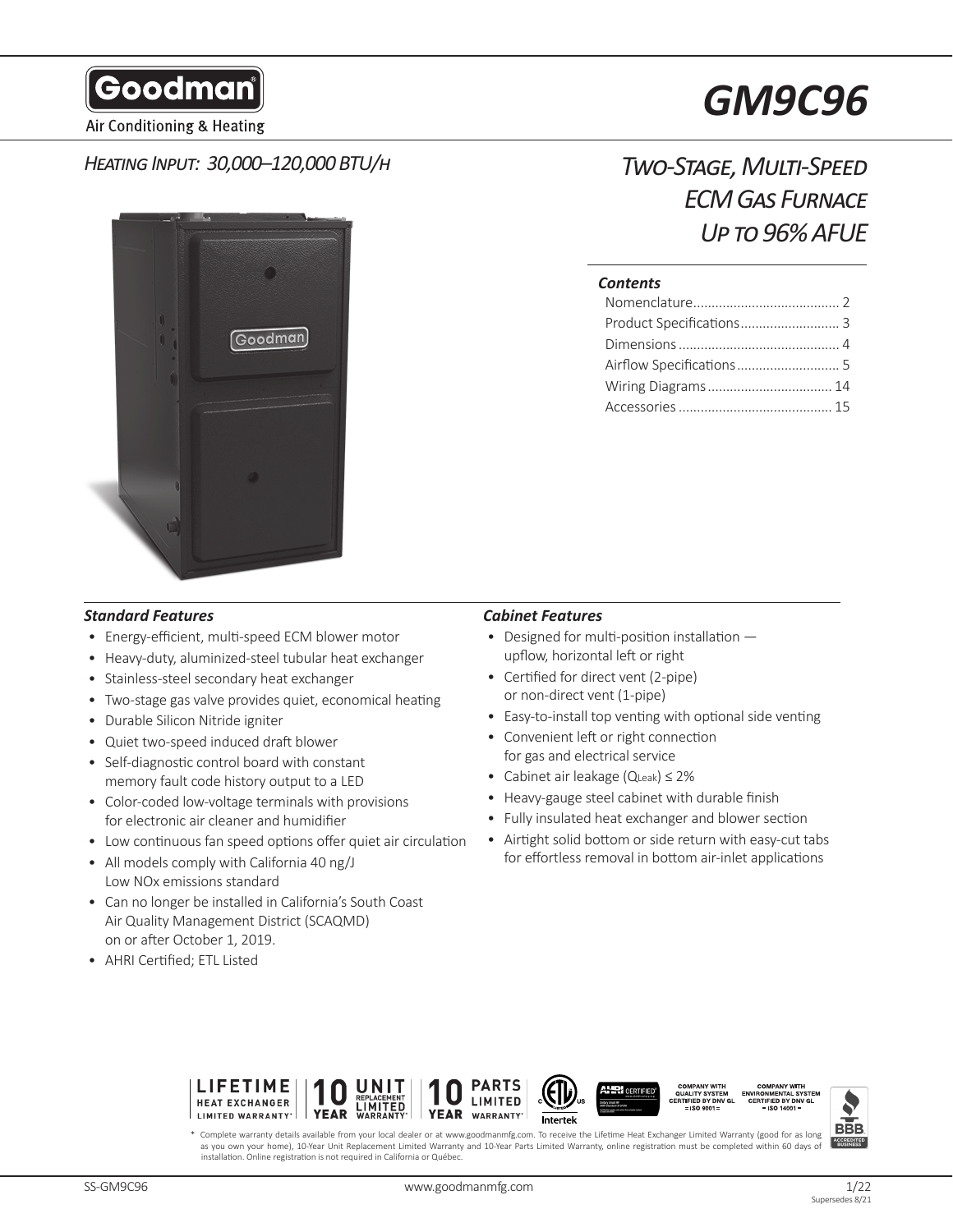Goodman

Air Conditioning & Heating

## *Heating Input: 30,000–120,000 BTU/h*



# *GM9C96*

# *Two-Stage, Multi-Speed ECM Gas Furnace Up to 96% AFUE*

#### *Contents*

| Wiring Diagrams  14 |  |
|---------------------|--|
|                     |  |

#### *Standard Features Cabinet Features*

- Energy-efficient, multi-speed ECM blower motor
- Heavy-duty, aluminized-steel tubular heat exchanger
- Stainless-steel secondary heat exchanger
- Two-stage gas valve provides quiet, economical heating
- Durable Silicon Nitride igniter
- Quiet two-speed induced draft blower
- Self-diagnostic control board with constant memory fault code history output to a LED
- Color-coded low-voltage terminals with provisions for electronic air cleaner and humidifier
- Low continuous fan speed options offer quiet air circulation
- All models comply with California 40 ng/J Low NOx emissions standard
- Can no longer be installed in California's South Coast Air Quality Management District (SCAQMD) on or after October 1, 2019.
- AHRI Certified; ETL Listed

- Designed for multi-position installation upflow, horizontal left or right
- Certified for direct vent (2-pipe) or non-direct vent (1-pipe)
- Easy-to-install top venting with optional side venting
- Convenient left or right connection for gas and electrical service
- Cabinet air leakage (QLeak) ≤ 2%
- Heavy-gauge steel cabinet with durable finish
- Fully insulated heat exchanger and blower section
- Airtight solid bottom or side return with easy-cut tabs for effortless removal in bottom air-inlet applications





Complete warranty details available from your local dealer or at www.goodmanmfg.com. To receive the Lifetime Heat Exchanger Limited Warranty (good for as long as you own your home), 10-Year Unit Replacement Limited Warranty and 10-Year Parts Limited Warranty, online registration must be completed within 60 days o installation. Online registration is not required in California or Québec.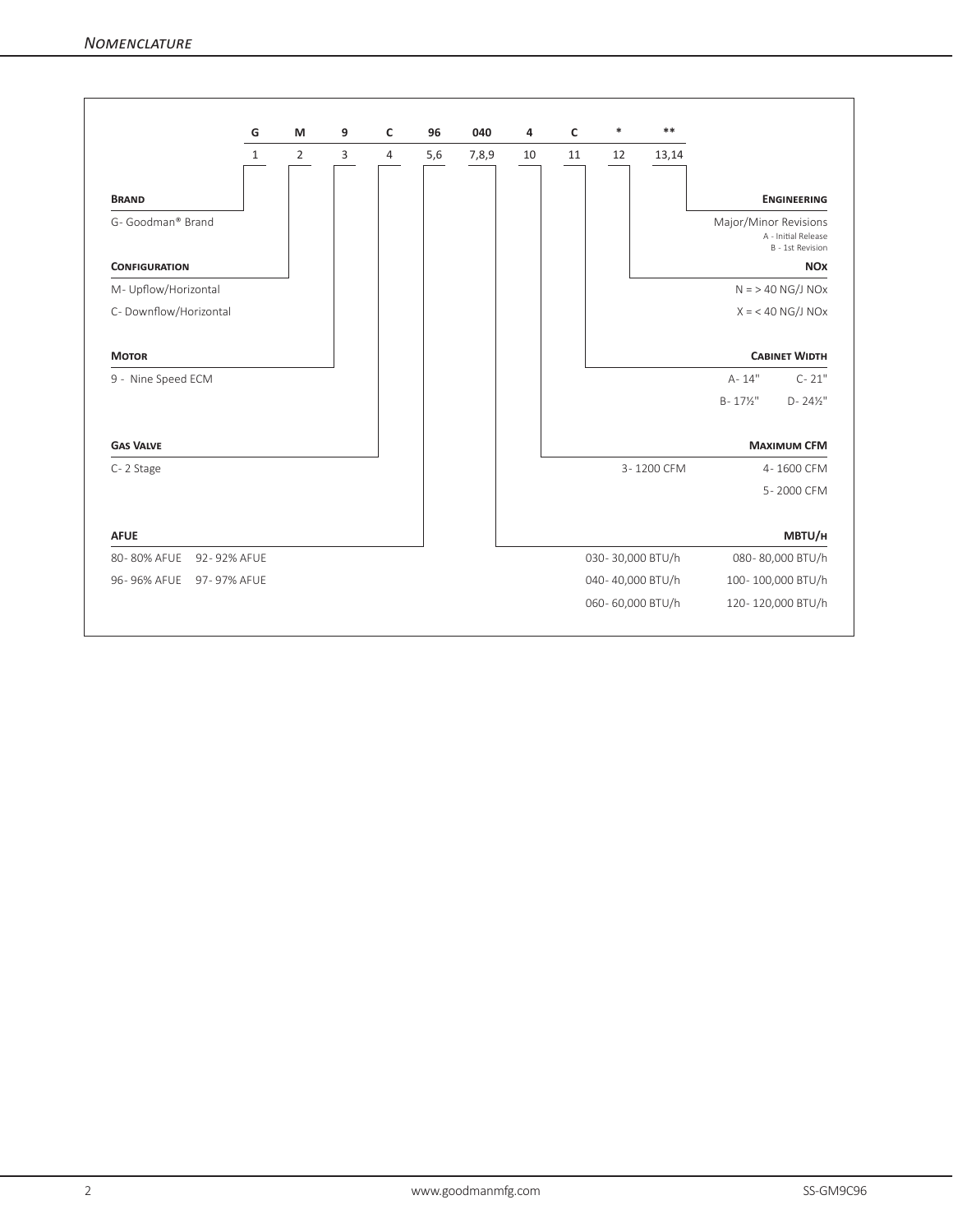|                            | G            | M              | 9              | c | 96  | 040   | 4  | C  | ∗                | $**$       |                                                                  |
|----------------------------|--------------|----------------|----------------|---|-----|-------|----|----|------------------|------------|------------------------------------------------------------------|
|                            | $\mathbf{1}$ | $\overline{2}$ | $\overline{3}$ | 4 | 5,6 | 7,8,9 | 10 | 11 | 12               | 13,14      |                                                                  |
| <b>BRAND</b>               |              |                |                |   |     |       |    |    |                  |            | <b>ENGINEERING</b>                                               |
| G- Goodman® Brand          |              |                |                |   |     |       |    |    |                  |            | Major/Minor Revisions<br>A - Initial Release<br>B - 1st Revision |
| <b>CONFIGURATION</b>       |              |                |                |   |     |       |    |    |                  |            | <b>NOX</b>                                                       |
| M- Upflow/Horizontal       |              |                |                |   |     |       |    |    |                  |            | $N = 240$ NG/J NOx                                               |
| C- Downflow/Horizontal     |              |                |                |   |     |       |    |    |                  |            | $X = 40$ NG/J NOx                                                |
| <b>MOTOR</b>               |              |                |                |   |     |       |    |    |                  |            | <b>CABINET WIDTH</b>                                             |
| 9 - Nine Speed ECM         |              |                |                |   |     |       |    |    |                  |            | A-14"<br>$C - 21"$                                               |
|                            |              |                |                |   |     |       |    |    |                  |            | $B - 17\frac{1}{2}$<br>$D - 24\frac{1}{2}$                       |
| <b>GAS VALVE</b>           |              |                |                |   |     |       |    |    |                  |            | <b>MAXIMUM CFM</b>                                               |
| C-2 Stage                  |              |                |                |   |     |       |    |    |                  | 3-1200 CFM | 4-1600 CFM                                                       |
|                            |              |                |                |   |     |       |    |    |                  |            | 5-2000 CFM                                                       |
| <b>AFUE</b>                |              |                |                |   |     |       |    |    |                  |            | MBTU/H                                                           |
| 80-80% AFUE<br>92-92% AFUE |              |                |                |   |     |       |    |    | 030-30,000 BTU/h |            | 080-80,000 BTU/h                                                 |
| 96-96% AFUE<br>97-97% AFUE |              |                |                |   |     |       |    |    | 040-40,000 BTU/h |            | 100-100,000 BTU/h                                                |
|                            |              |                |                |   |     |       |    |    |                  |            |                                                                  |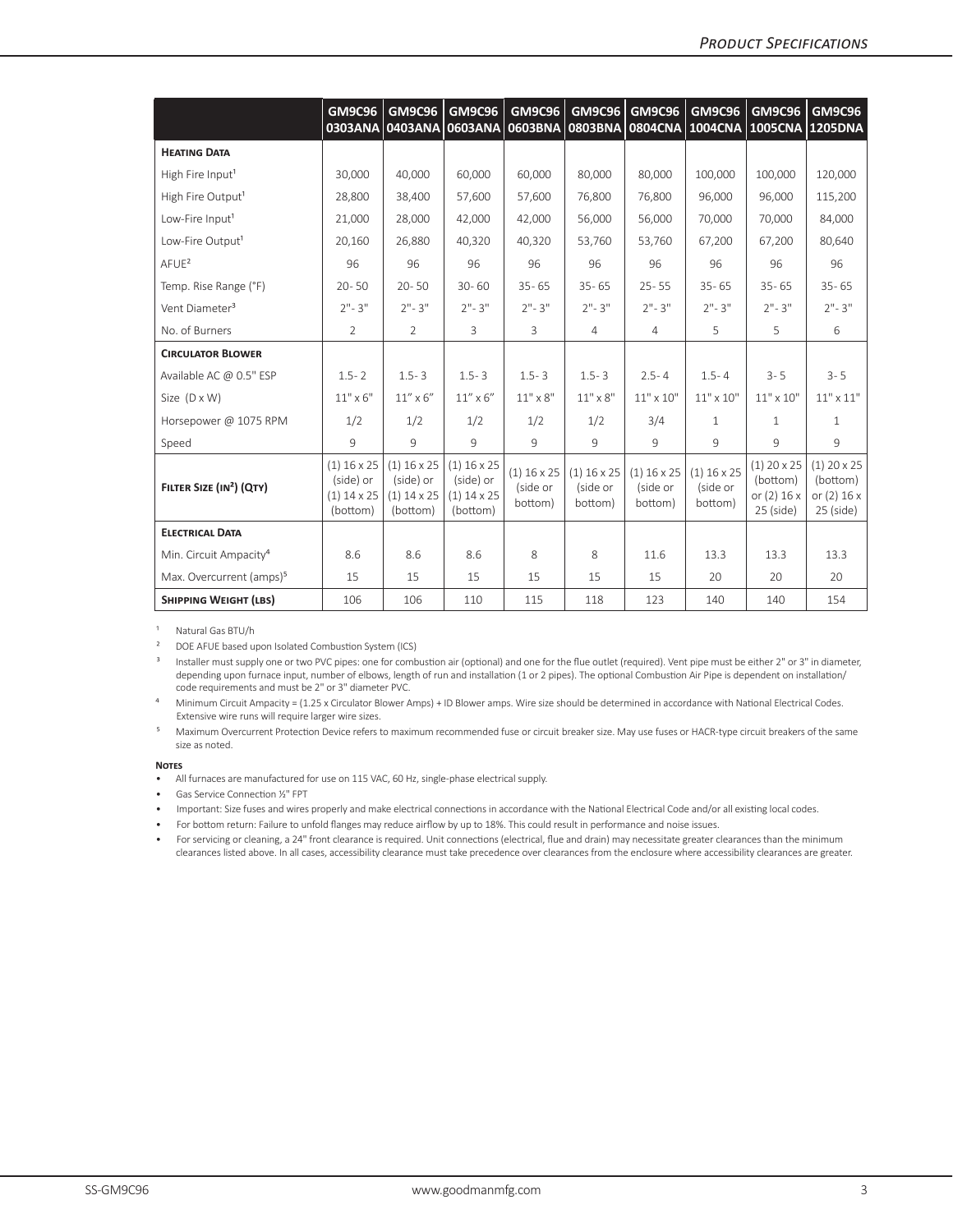|                                      | GM9C96<br>0303ANA                                       | <b>GM9C96</b>                                           | <b>GM9C96</b><br>0403ANA 0603ANA 0603BNA                | GM9C96                               | <b>GM9C96</b><br><b>0803BNA</b>             | <b>GM9C96</b>                        | <b>GM9C96</b>                               | <b>GM9C96</b><br>0804CNA 1004CNA 1005CNA 1205DNA                 | <b>GM9C96</b>                                             |
|--------------------------------------|---------------------------------------------------------|---------------------------------------------------------|---------------------------------------------------------|--------------------------------------|---------------------------------------------|--------------------------------------|---------------------------------------------|------------------------------------------------------------------|-----------------------------------------------------------|
| <b>HEATING DATA</b>                  |                                                         |                                                         |                                                         |                                      |                                             |                                      |                                             |                                                                  |                                                           |
| High Fire Input <sup>1</sup>         | 30,000                                                  | 40,000                                                  | 60,000                                                  | 60,000                               | 80,000                                      | 80,000                               | 100,000                                     | 100,000                                                          | 120,000                                                   |
| High Fire Output <sup>1</sup>        | 28,800                                                  | 38,400                                                  | 57,600                                                  | 57,600                               | 76.800                                      | 76.800                               | 96.000                                      | 96,000                                                           | 115,200                                                   |
| Low-Fire Input <sup>1</sup>          | 21,000                                                  | 28,000                                                  | 42,000                                                  | 42,000                               | 56,000                                      | 56,000                               | 70,000                                      | 70,000                                                           | 84,000                                                    |
| Low-Fire Output <sup>1</sup>         | 20,160                                                  | 26,880                                                  | 40,320                                                  | 40,320                               | 53,760                                      | 53,760                               | 67,200                                      | 67,200                                                           | 80,640                                                    |
| AFUE <sup>2</sup>                    | 96                                                      | 96                                                      | 96                                                      | 96                                   | 96                                          | 96                                   | 96                                          | 96                                                               | 96                                                        |
| Temp. Rise Range (°F)                | $20 - 50$                                               | $20 - 50$                                               | $30 - 60$                                               | $35 - 65$                            | $35 - 65$                                   | $25 - 55$                            | $35 - 65$                                   | $35 - 65$                                                        | $35 - 65$                                                 |
| Vent Diameter <sup>3</sup>           | $2" - 3"$                                               | $2" - 3"$                                               | $2" - 3"$                                               | $2" - 3"$                            | $2" - 3"$                                   | $2" - 3"$                            | $2" - 3"$                                   | $2" - 3"$                                                        | $2" - 3"$                                                 |
| No. of Burners                       | $\overline{2}$                                          | $\overline{2}$                                          | 3                                                       | 3                                    | $\overline{4}$                              | 4                                    | 5                                           | 5                                                                | 6                                                         |
| <b>CIRCULATOR BLOWER</b>             |                                                         |                                                         |                                                         |                                      |                                             |                                      |                                             |                                                                  |                                                           |
| Available AC @ 0.5" ESP              | $1.5 - 2$                                               | $1.5 - 3$                                               | $1.5 - 3$                                               | $1.5 - 3$                            | $1.5 - 3$                                   | $2.5 - 4$                            | $1.5 - 4$                                   | $3 - 5$                                                          | $3 - 5$                                                   |
| Size $(D \times W)$                  | $11" \times 6"$                                         | $11''$ x $6''$                                          | $11''$ x $6''$                                          | $11" \times 8"$                      | $11" \times 8"$                             | $11" \times 10"$                     | $11" \times 10"$                            | $11" \times 10"$                                                 | $11" \times 11"$                                          |
| Horsepower @ 1075 RPM                | 1/2                                                     | 1/2                                                     | 1/2                                                     | 1/2                                  | 1/2                                         | 3/4                                  | $\mathbf{1}$                                | $\mathbf{1}$                                                     | $\mathbf{1}$                                              |
| Speed                                | 9                                                       | 9                                                       | 9                                                       | 9                                    | 9                                           | 9                                    | 9                                           | 9                                                                | 9                                                         |
| FILTER SIZE (IN <sup>2</sup> ) (QTY) | $(1)$ 16 x 25<br>(side) or<br>$(1)$ 14 x 25<br>(bottom) | $(1)$ 16 x 25<br>(side) or<br>$(1)$ 14 x 25<br>(bottom) | $(1)$ 16 x 25<br>(side) or<br>$(1)$ 14 x 25<br>(bottom) | $(1)$ 16 x 25<br>(side or<br>bottom) | $(1)$ 16 $\times$ 25<br>(side or<br>bottom) | $(1)$ 16 x 25<br>(side or<br>bottom) | $(1)$ 16 $\times$ 25<br>(side or<br>bottom) | $(1)$ 20 $\times$ 25<br>(bottom)<br>or $(2)$ 16 x<br>$25$ (side) | $(1)$ 20 x 25<br>(bottom)<br>or $(2)$ 16 x<br>$25$ (side) |
| <b>ELECTRICAL DATA</b>               |                                                         |                                                         |                                                         |                                      |                                             |                                      |                                             |                                                                  |                                                           |
| Min. Circuit Ampacity <sup>4</sup>   | 8.6                                                     | 8.6                                                     | 8.6                                                     | 8                                    | 8                                           | 11.6                                 | 13.3                                        | 13.3                                                             | 13.3                                                      |
| Max. Overcurrent (amps) <sup>5</sup> | 15                                                      | 15                                                      | 15                                                      | 15                                   | 15                                          | 15                                   | 20                                          | 20                                                               | 20                                                        |
| <b>SHIPPING WEIGHT (LBS)</b>         | 106                                                     | 106                                                     | 110                                                     | 115                                  | 118                                         | 123                                  | 140                                         | 140                                                              | 154                                                       |

<sup>1</sup> Natural Gas BTU/h

² DOE AFUE based upon Isolated Combustion System (ICS)

<sup>3</sup> Installer must supply one or two PVC pipes: one for combustion air (optional) and one for the flue outlet (required). Vent pipe must be either 2" or 3" in diameter, depending upon furnace input, number of elbows, length of run and installation (1 or 2 pipes). The optional Combustion Air Pipe is dependent on installation/ code requirements and must be 2" or 3" diameter PVC.

⁴ Minimum Circuit Ampacity = (1.25 x Circulator Blower Amps) + ID Blower amps. Wire size should be determined in accordance with National Electrical Codes. Extensive wire runs will require larger wire sizes.

Maximum Overcurrent Protection Device refers to maximum recommended fuse or circuit breaker size. May use fuses or HACR-type circuit breakers of the same size as noted.

#### **Notes**

• All furnaces are manufactured for use on 115 VAC, 60 Hz, single-phase electrical supply.

• Gas Service Connection ½" FPT

• Important: Size fuses and wires properly and make electrical connections in accordance with the National Electrical Code and/or all existing local codes.

• For bottom return: Failure to unfold flanges may reduce airflow by up to 18%. This could result in performance and noise issues.

• For servicing or cleaning, a 24" front clearance is required. Unit connections (electrical, flue and drain) may necessitate greater clearances than the minimum clearances listed above. In all cases, accessibility clearance must take precedence over clearances from the enclosure where accessibility clearances are greater.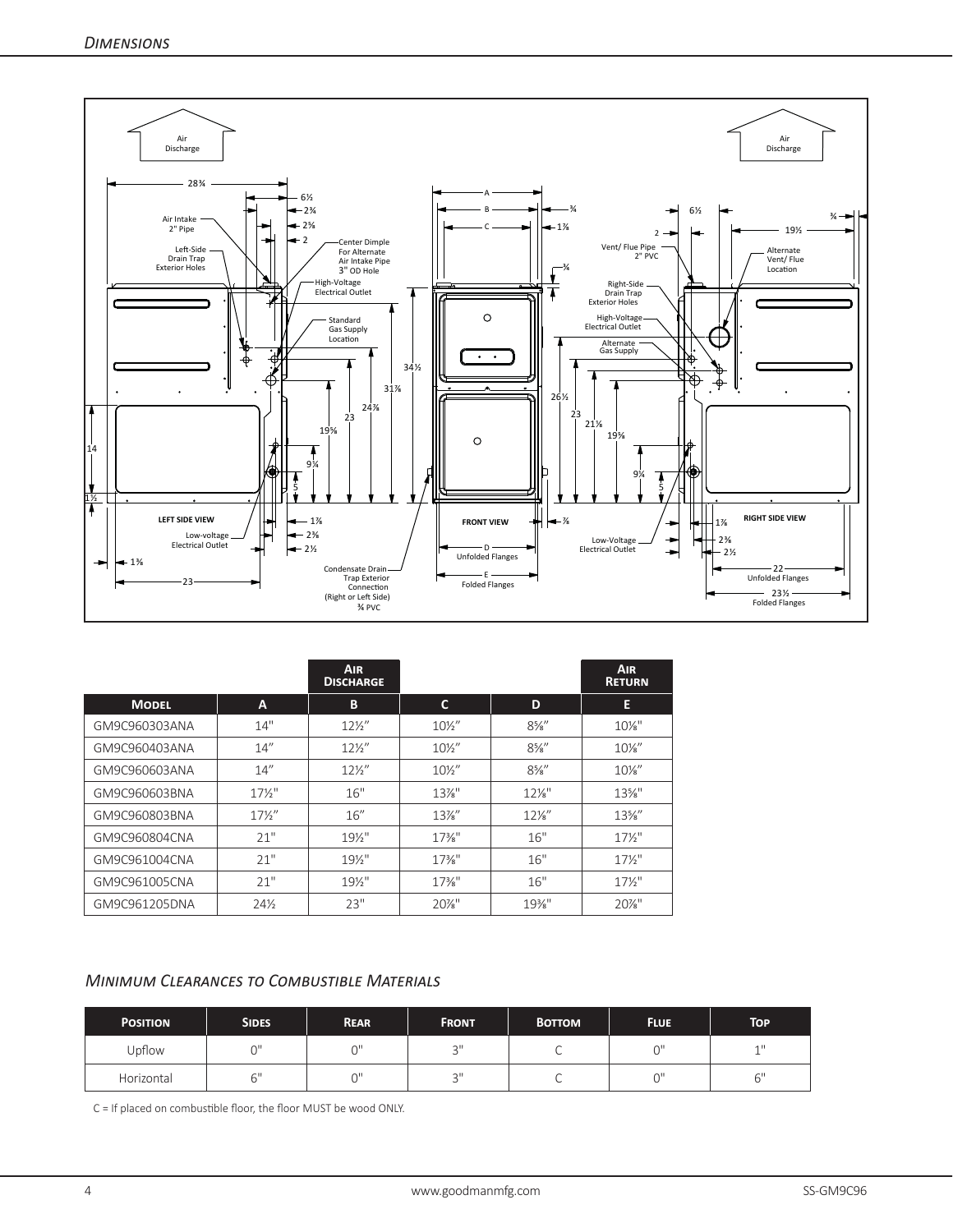

|               |                 | <b>AIR</b><br><b>DISCHARGE</b> |                   |                 | <b>AIR</b><br><b>RETURN</b> |
|---------------|-----------------|--------------------------------|-------------------|-----------------|-----------------------------|
| <b>MODEL</b>  | A               | B                              | C                 | D               | E                           |
| GM9C960303ANA | 14"             | $12\frac{1}{2}$                | $10\frac{1}{2}$   | $8\frac{5}{8}$  | $10\%$ "                    |
| GM9C960403ANA | 14''            | $12\frac{1}{2}$                | $10\frac{1}{2}$   | $8\%$ "         | $10\%$ "                    |
| GM9C960603ANA | 14''            | $12\frac{1}{2}$                | $10\frac{1}{2}$   | $8\%$ "         | $10\%$ "                    |
| GM9C960603BNA | $17\frac{1}{2}$ | 16"                            | $13\%$ "          | $12\%$ "        | $13\%$ "                    |
| GM9C960803BNA | $17\frac{1}{2}$ | 16''                           | $13\%$ "          | $12\frac{1}{8}$ | $13\%$ "                    |
| GM9C960804CNA | 21"             | $19\%$ "                       | $17\frac{3}{8}$ " | 16"             | $17\frac{1}{2}$             |
| GM9C961004CNA | 21"             | $19\%$ "                       | $17\frac{3}{8}$ " | 16"             | $17\frac{1}{2}$             |
| GM9C961005CNA | 21"             | $19\%$ "                       | $17\frac{3}{8}$ " | 16"             | $17\frac{1}{2}$             |
| GM9C961205DNA | $24\frac{1}{2}$ | 23"                            | $20\%$ "          | 19%"            | $20\%$ "                    |

### *Minimum Clearances to Combustible Materials*

| <b>POSITION</b> | <b>SIDES</b> | <b>REAR</b> | <b>FRONT</b> | <b>BOTTOM</b> | <b>FLUE</b> | TOP         |
|-----------------|--------------|-------------|--------------|---------------|-------------|-------------|
| Upflow          | $\sim$       | $\sim$      | $\bigcap$    |               | $\bigcap$   | $-111$<br>÷ |
| Horizontal      |              | ωH          | $\bigcap$    |               | $\sim$      | 6"          |

C = If placed on combustible floor, the floor MUST be wood ONLY.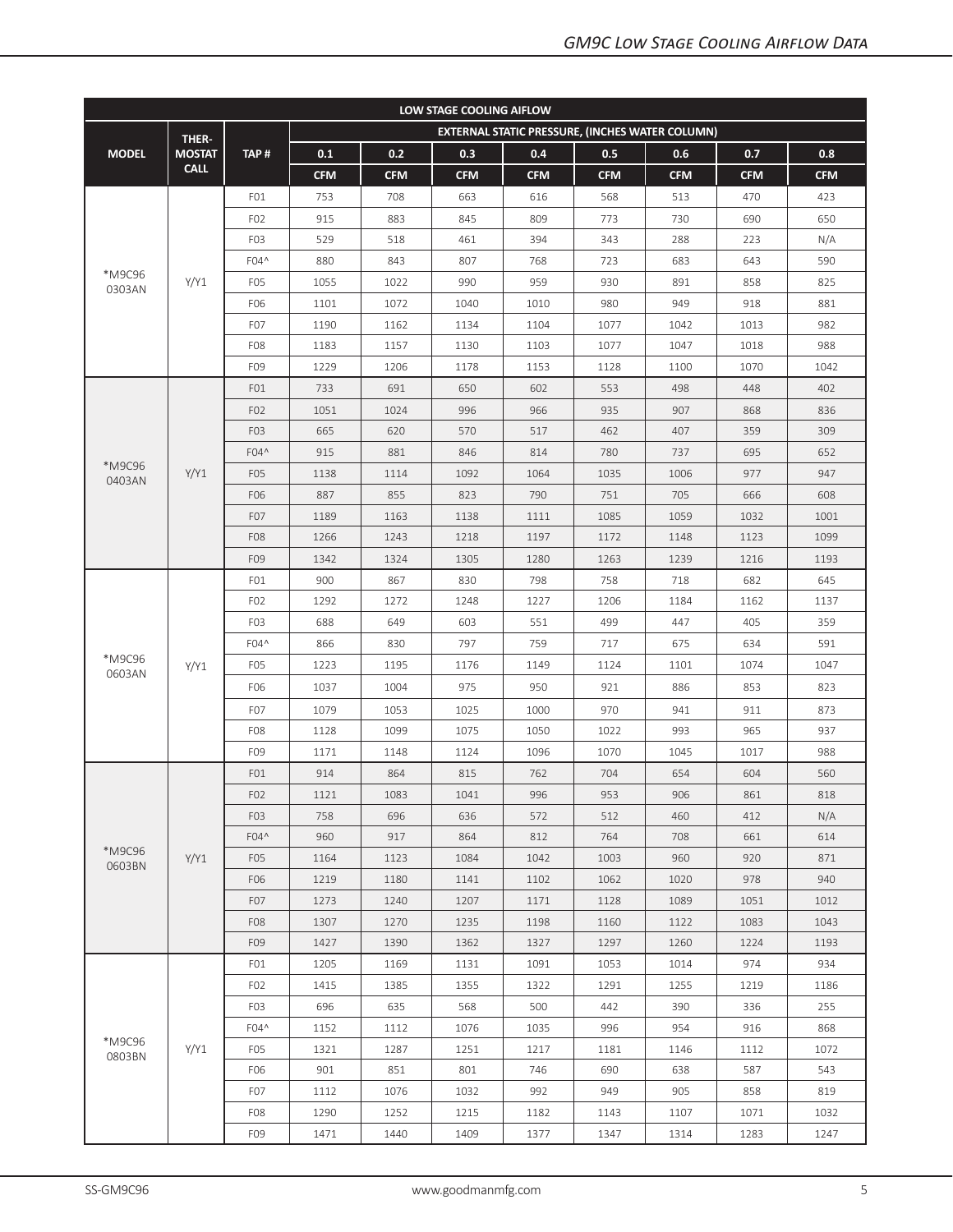| LOW STAGE COOLING AIFLOW<br>EXTERNAL STATIC PRESSURE, (INCHES WATER COLUMN) |               |                  |            |            |            |            |            |            |            |            |  |  |  |
|-----------------------------------------------------------------------------|---------------|------------------|------------|------------|------------|------------|------------|------------|------------|------------|--|--|--|
|                                                                             | THER-         |                  |            |            |            |            |            |            |            |            |  |  |  |
| <b>MODEL</b>                                                                | <b>MOSTAT</b> | TAP#             | 0.1        | 0.2        | 0.3        | 0.4        | 0.5        | 0.6        | 0.7        | 0.8        |  |  |  |
|                                                                             | <b>CALL</b>   |                  | <b>CFM</b> | <b>CFM</b> | <b>CFM</b> | <b>CFM</b> | <b>CFM</b> | <b>CFM</b> | <b>CFM</b> | <b>CFM</b> |  |  |  |
|                                                                             |               | FO1              | 753        | 708        | 663        | 616        | 568        | 513        | 470        | 423        |  |  |  |
|                                                                             |               | F <sub>02</sub>  | 915        | 883        | 845        | 809        | 773        | 730        | 690        | 650        |  |  |  |
|                                                                             |               | F <sub>0</sub> 3 | 529        | 518        | 461        | 394        | 343        | 288        | 223        | N/A        |  |  |  |
|                                                                             |               | F04^             | 880        | 843        | 807        | 768        | 723        | 683        | 643        | 590        |  |  |  |
| *M9C96<br>0303AN                                                            | Y/Y1          | F <sub>0</sub> 5 | 1055       | 1022       | 990        | 959        | 930        | 891        | 858        | 825        |  |  |  |
|                                                                             |               | F06              | 1101       | 1072       | 1040       | 1010       | 980        | 949        | 918        | 881        |  |  |  |
|                                                                             |               | F <sub>0</sub> 7 | 1190       | 1162       | 1134       | 1104       | 1077       | 1042       | 1013       | 982        |  |  |  |
|                                                                             |               | F <sub>08</sub>  | 1183       | 1157       | 1130       | 1103       | 1077       | 1047       | 1018       | 988        |  |  |  |
|                                                                             |               | F09              | 1229       | 1206       | 1178       | 1153       | 1128       | 1100       | 1070       | 1042       |  |  |  |
|                                                                             |               | FO1              | 733        | 691        | 650        | 602        | 553        | 498        | 448        | 402        |  |  |  |
|                                                                             |               | F <sub>02</sub>  | 1051       | 1024       | 996        | 966        | 935        | 907        | 868        | 836        |  |  |  |
|                                                                             |               | F <sub>0</sub> 3 | 665        | 620        | 570        | 517        | 462        | 407        | 359        | 309        |  |  |  |
|                                                                             |               | F04^             | 915        | 881        | 846        | 814        | 780        | 737        | 695        | 652        |  |  |  |
| *M9C96<br>0403AN                                                            | Y/Y1          | F <sub>05</sub>  | 1138       | 1114       | 1092       | 1064       | 1035       | 1006       | 977        | 947        |  |  |  |
|                                                                             |               | F06              | 887        | 855        | 823        | 790        | 751        | 705        | 666        | 608        |  |  |  |
|                                                                             |               | F <sub>0</sub> 7 | 1189       | 1163       | 1138       | 1111       | 1085       | 1059       | 1032       | 1001       |  |  |  |
|                                                                             |               | F <sub>08</sub>  | 1266       | 1243       | 1218       | 1197       | 1172       | 1148       | 1123       | 1099       |  |  |  |
|                                                                             |               | F09              | 1342       | 1324       | 1305       | 1280       | 1263       | 1239       | 1216       | 1193       |  |  |  |
|                                                                             | Y/Y1          | FO1              | 900        | 867        | 830        | 798        | 758        | 718        | 682        | 645        |  |  |  |
|                                                                             |               | F <sub>02</sub>  | 1292       | 1272       | 1248       | 1227       | 1206       | 1184       | 1162       | 1137       |  |  |  |
|                                                                             |               | F <sub>0</sub> 3 | 688        | 649        | 603        | 551        | 499        | 447        | 405        | 359        |  |  |  |
|                                                                             |               | F04^             | 866        | 830        | 797        | 759        | 717        | 675        | 634        | 591        |  |  |  |
| *M9C96<br>0603AN                                                            |               | F <sub>0</sub> 5 | 1223       | 1195       | 1176       | 1149       | 1124       | 1101       | 1074       | 1047       |  |  |  |
|                                                                             |               | F06              | 1037       | 1004       | 975        | 950        | 921        | 886        | 853        | 823        |  |  |  |
|                                                                             |               | F <sub>0</sub> 7 | 1079       | 1053       | 1025       | 1000       | 970        | 941        | 911        | 873        |  |  |  |
|                                                                             |               | F <sub>08</sub>  | 1128       | 1099       | 1075       | 1050       | 1022       | 993        | 965        | 937        |  |  |  |
|                                                                             |               | F09              | 1171       | 1148       | 1124       | 1096       | 1070       | 1045       | 1017       | 988        |  |  |  |
|                                                                             |               | FO1              | 914        | 864        | 815        | 762        | 704        | 654        | 604        | 560        |  |  |  |
|                                                                             |               | F <sub>0</sub> 2 | 1121       | 1083       | 1041       | 996        | 953        | 906        | 861        | 818        |  |  |  |
|                                                                             |               | F <sub>0</sub> 3 | 758        | 696        | 636        | 572        | 512        | 460        | 412        | N/A        |  |  |  |
|                                                                             |               | F04^             | 960        | 917        | 864        | 812        | 764        | 708        | 661        | 614        |  |  |  |
| *M9C96<br>0603BN                                                            | Y/Y1          | F <sub>0</sub> 5 | 1164       | 1123       | 1084       | 1042       | 1003       | 960        | 920        | 871        |  |  |  |
|                                                                             |               | F06              | 1219       | 1180       | 1141       | 1102       | 1062       | 1020       | 978        | 940        |  |  |  |
|                                                                             |               | F <sub>07</sub>  | 1273       | 1240       | 1207       | 1171       | 1128       | 1089       | 1051       | 1012       |  |  |  |
|                                                                             |               | F <sub>08</sub>  | 1307       | 1270       | 1235       | 1198       | 1160       | 1122       | 1083       | 1043       |  |  |  |
|                                                                             |               | F <sub>09</sub>  | 1427       | 1390       | 1362       | 1327       | 1297       | 1260       | 1224       | 1193       |  |  |  |
|                                                                             |               | FO1              | 1205       | 1169       | 1131       | 1091       | 1053       | 1014       | 974        | 934        |  |  |  |
|                                                                             |               | FO <sub>2</sub>  | 1415       | 1385       | 1355       | 1322       | 1291       | 1255       | 1219       | 1186       |  |  |  |
|                                                                             |               | F <sub>0</sub> 3 | 696        | 635        | 568        | 500        | 442        | 390        | 336        | 255        |  |  |  |
|                                                                             |               | F04^             | 1152       | 1112       | 1076       | 1035       | 996        | 954        | 916        | 868        |  |  |  |
| *M9C96<br>0803BN                                                            | Y/Y1          | F <sub>05</sub>  | 1321       | 1287       | 1251       | 1217       | 1181       | 1146       | 1112       | 1072       |  |  |  |
|                                                                             |               | F06              | 901        | 851        | 801        | 746        | 690        | 638        | 587        | 543        |  |  |  |
|                                                                             |               | F <sub>0</sub> 7 | 1112       | 1076       | 1032       | 992        | 949        | 905        | 858        | 819        |  |  |  |
|                                                                             |               | F <sub>08</sub>  | 1290       | 1252       | 1215       | 1182       | 1143       | 1107       | 1071       | 1032       |  |  |  |
|                                                                             |               | F <sub>09</sub>  | 1471       | 1440       | 1409       | 1377       | 1347       | 1314       | 1283       | 1247       |  |  |  |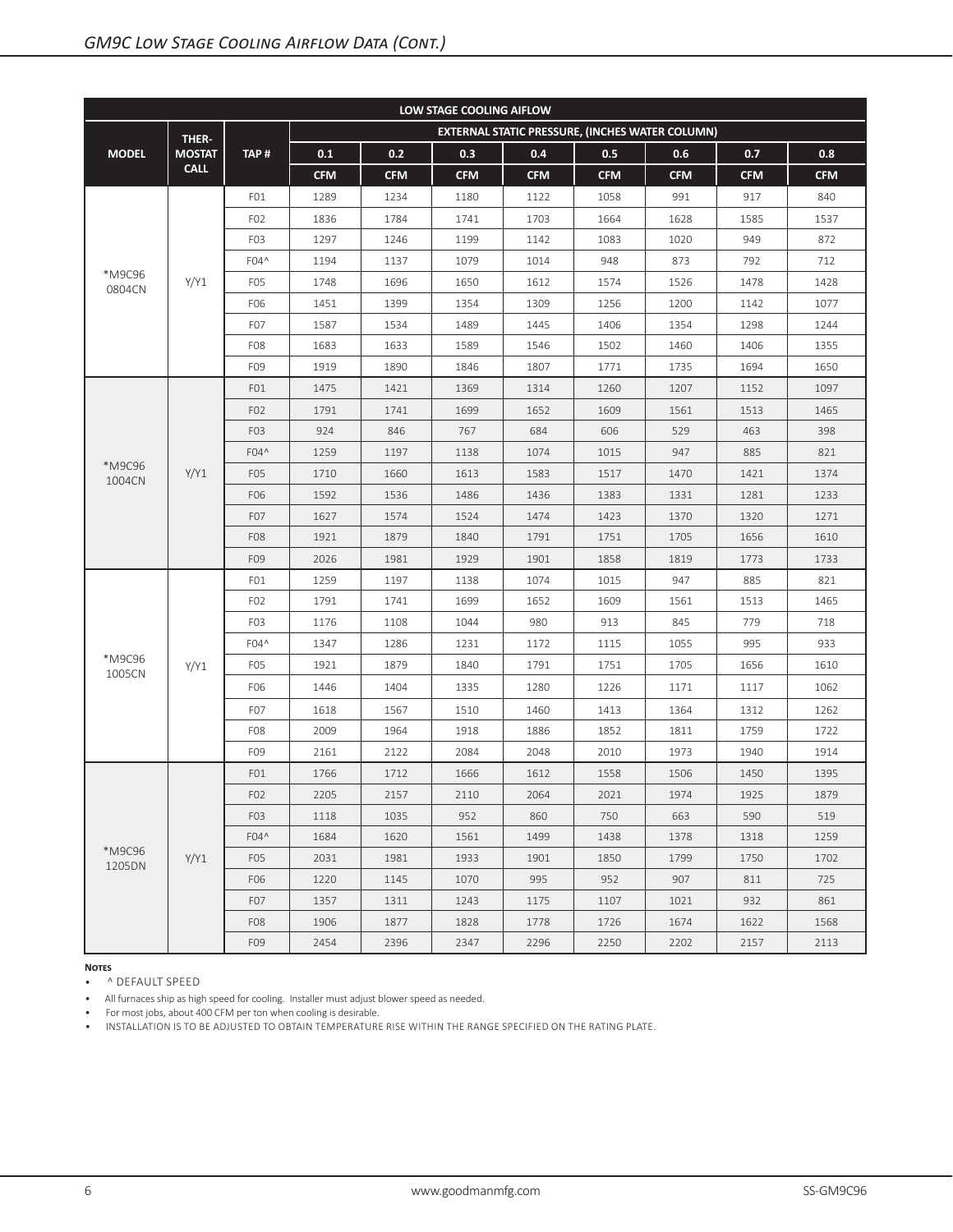| LOW STAGE COOLING AIFLOW |               |                  |            |            |            |            |                                                 |            |            |            |  |  |
|--------------------------|---------------|------------------|------------|------------|------------|------------|-------------------------------------------------|------------|------------|------------|--|--|
|                          | THER-         |                  |            |            |            |            | EXTERNAL STATIC PRESSURE, (INCHES WATER COLUMN) |            |            |            |  |  |
| <b>MODEL</b>             | <b>MOSTAT</b> | TAP#             | 0.1        | 0.2        | 0.3        | 0.4        | 0.5                                             | 0.6        | 0.7        | 0.8        |  |  |
|                          | <b>CALL</b>   |                  | <b>CFM</b> | <b>CFM</b> | <b>CFM</b> | <b>CFM</b> | <b>CFM</b>                                      | <b>CFM</b> | <b>CFM</b> | <b>CFM</b> |  |  |
|                          |               | FO1              | 1289       | 1234       | 1180       | 1122       | 1058                                            | 991        | 917        | 840        |  |  |
|                          |               | F <sub>02</sub>  | 1836       | 1784       | 1741       | 1703       | 1664                                            | 1628       | 1585       | 1537       |  |  |
|                          |               | F <sub>0</sub> 3 | 1297       | 1246       | 1199       | 1142       | 1083                                            | 1020       | 949        | 872        |  |  |
|                          |               | F04^             | 1194       | 1137       | 1079       | 1014       | 948                                             | 873        | 792        | 712        |  |  |
| *M9C96<br>0804CN         | Y/Y1          | F <sub>0</sub> 5 | 1748       | 1696       | 1650       | 1612       | 1574                                            | 1526       | 1478       | 1428       |  |  |
|                          |               | F06              | 1451       | 1399       | 1354       | 1309       | 1256                                            | 1200       | 1142       | 1077       |  |  |
|                          |               | F <sub>0</sub> 7 | 1587       | 1534       | 1489       | 1445       | 1406                                            | 1354       | 1298       | 1244       |  |  |
|                          |               | F <sub>08</sub>  | 1683       | 1633       | 1589       | 1546       | 1502                                            | 1460       | 1406       | 1355       |  |  |
|                          |               | F09              | 1919       | 1890       | 1846       | 1807       | 1771                                            | 1735       | 1694       | 1650       |  |  |
|                          |               | FO1              | 1475       | 1421       | 1369       | 1314       | 1260                                            | 1207       | 1152       | 1097       |  |  |
|                          |               | F <sub>02</sub>  | 1791       | 1741       | 1699       | 1652       | 1609                                            | 1561       | 1513       | 1465       |  |  |
|                          |               | F <sub>0</sub> 3 | 924        | 846        | 767        | 684        | 606                                             | 529        | 463        | 398        |  |  |
|                          |               | F04^             | 1259       | 1197       | 1138       | 1074       | 1015                                            | 947        | 885        | 821        |  |  |
| *M9C96<br>1004CN         | Y/Y1          | F <sub>0</sub> 5 | 1710       | 1660       | 1613       | 1583       | 1517                                            | 1470       | 1421       | 1374       |  |  |
|                          |               | F06              | 1592       | 1536       | 1486       | 1436       | 1383                                            | 1331       | 1281       | 1233       |  |  |
|                          |               | F <sub>0</sub> 7 | 1627       | 1574       | 1524       | 1474       | 1423                                            | 1370       | 1320       | 1271       |  |  |
|                          |               | F <sub>08</sub>  | 1921       | 1879       | 1840       | 1791       | 1751                                            | 1705       | 1656       | 1610       |  |  |
|                          |               | F09              | 2026       | 1981       | 1929       | 1901       | 1858                                            | 1819       | 1773       | 1733       |  |  |
|                          |               | FO1              | 1259       | 1197       | 1138       | 1074       | 1015                                            | 947        | 885        | 821        |  |  |
|                          |               | F <sub>02</sub>  | 1791       | 1741       | 1699       | 1652       | 1609                                            | 1561       | 1513       | 1465       |  |  |
|                          |               | F <sub>0</sub> 3 | 1176       | 1108       | 1044       | 980        | 913                                             | 845        | 779        | 718        |  |  |
|                          |               | F04^             | 1347       | 1286       | 1231       | 1172       | 1115                                            | 1055       | 995        | 933        |  |  |
| *M9C96<br>1005CN         | Y/Y1          | F <sub>0</sub> 5 | 1921       | 1879       | 1840       | 1791       | 1751                                            | 1705       | 1656       | 1610       |  |  |
|                          |               | F06              | 1446       | 1404       | 1335       | 1280       | 1226                                            | 1171       | 1117       | 1062       |  |  |
|                          |               | F <sub>0</sub> 7 | 1618       | 1567       | 1510       | 1460       | 1413                                            | 1364       | 1312       | 1262       |  |  |
|                          |               | F <sub>08</sub>  | 2009       | 1964       | 1918       | 1886       | 1852                                            | 1811       | 1759       | 1722       |  |  |
|                          |               | F09              | 2161       | 2122       | 2084       | 2048       | 2010                                            | 1973       | 1940       | 1914       |  |  |
|                          |               | FO1              | 1766       | 1712       | 1666       | 1612       | 1558                                            | 1506       | 1450       | 1395       |  |  |
|                          |               | F <sub>02</sub>  | 2205       | 2157       | 2110       | 2064       | 2021                                            | 1974       | 1925       | 1879       |  |  |
|                          |               | F <sub>0</sub> 3 | 1118       | 1035       | 952        | 860        | 750                                             | 663        | 590        | 519        |  |  |
|                          |               | F04^             | 1684       | 1620       | 1561       | 1499       | 1438                                            | 1378       | 1318       | 1259       |  |  |
| *M9C96<br>1205DN         | Y/Y1          | F <sub>0</sub> 5 | 2031       | 1981       | 1933       | 1901       | 1850                                            | 1799       | 1750       | 1702       |  |  |
|                          |               | F06              | 1220       | 1145       | 1070       | 995        | 952                                             | 907        | 811        | 725        |  |  |
|                          |               | F <sub>0</sub> 7 | 1357       | 1311       | 1243       | 1175       | 1107                                            | 1021       | 932        | 861        |  |  |
|                          |               | F <sub>08</sub>  | 1906       | 1877       | 1828       | 1778       | 1726                                            | 1674       | 1622       | 1568       |  |  |
|                          |               | F09              | 2454       | 2396       | 2347       | 2296       | 2250                                            | 2202       | 2157       | 2113       |  |  |

• ^ DEFAULT SPEED

• All furnaces ship as high speed for cooling. Installer must adjust blower speed as needed.

• For most jobs, about 400 CFM per ton when cooling is desirable.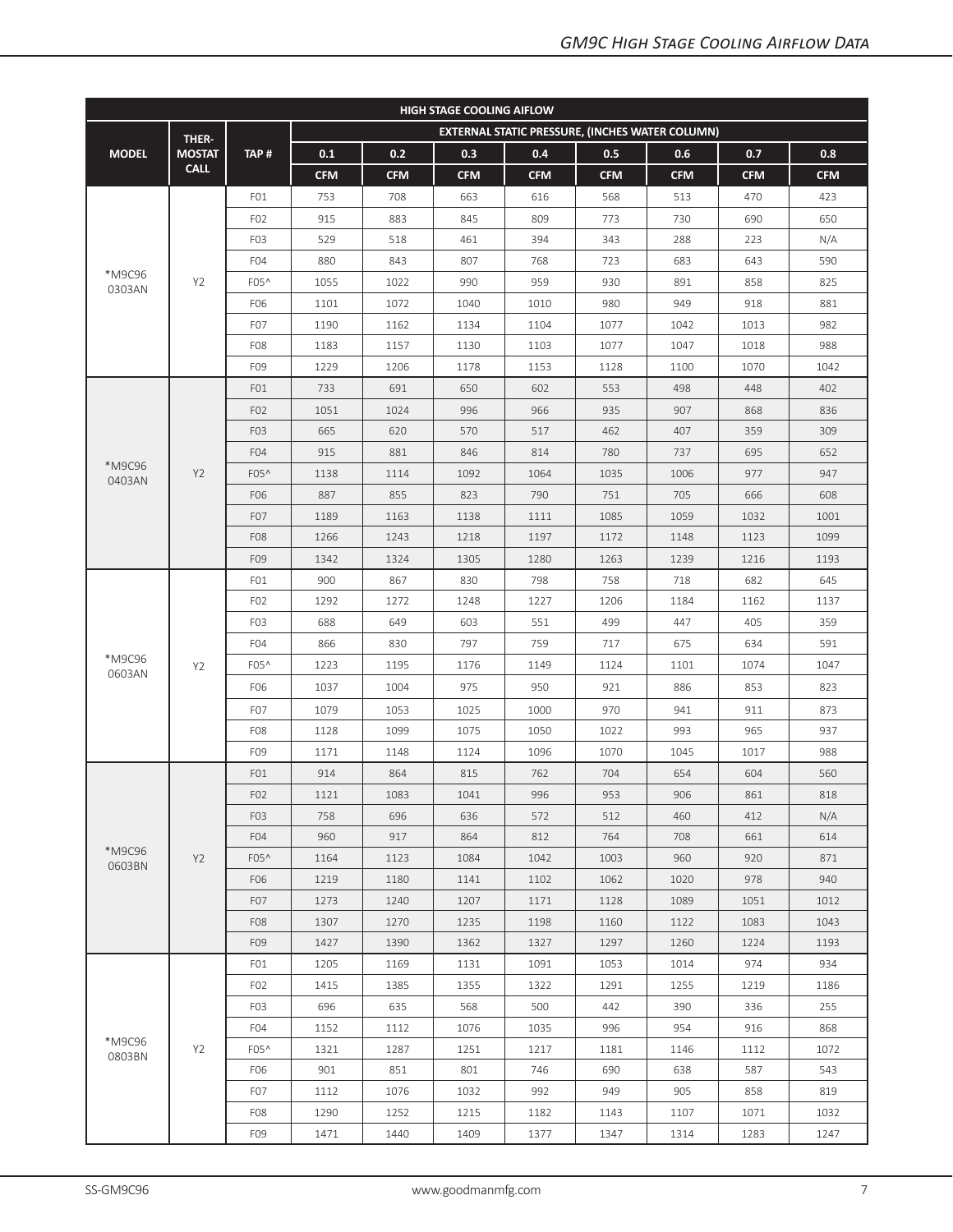| <b>HIGH STAGE COOLING AIFLOW</b> |                |                  |            |            |            |            |                                                        |            |            |            |  |  |
|----------------------------------|----------------|------------------|------------|------------|------------|------------|--------------------------------------------------------|------------|------------|------------|--|--|
|                                  | THER-          |                  |            |            |            |            | <b>EXTERNAL STATIC PRESSURE, (INCHES WATER COLUMN)</b> |            |            |            |  |  |
| <b>MODEL</b>                     | <b>MOSTAT</b>  | TAP#             | 0.1        | 0.2        | 0.3        | 0.4        | 0.5                                                    | 0.6        | 0.7        | 0.8        |  |  |
|                                  | <b>CALL</b>    |                  | <b>CFM</b> | <b>CFM</b> | <b>CFM</b> | <b>CFM</b> | <b>CFM</b>                                             | <b>CFM</b> | <b>CFM</b> | <b>CFM</b> |  |  |
|                                  |                | FO1              | 753        | 708        | 663        | 616        | 568                                                    | 513        | 470        | 423        |  |  |
|                                  |                | F <sub>02</sub>  | 915        | 883        | 845        | 809        | 773                                                    | 730        | 690        | 650        |  |  |
|                                  |                | F <sub>0</sub> 3 | 529        | 518        | 461        | 394        | 343                                                    | 288        | 223        | N/A        |  |  |
|                                  |                | F <sub>04</sub>  | 880        | 843        | 807        | 768        | 723                                                    | 683        | 643        | 590        |  |  |
| *M9C96<br>0303AN                 | Y2             | F05^             | 1055       | 1022       | 990        | 959        | 930                                                    | 891        | 858        | 825        |  |  |
|                                  |                | F06              | 1101       | 1072       | 1040       | 1010       | 980                                                    | 949        | 918        | 881        |  |  |
|                                  |                | F <sub>0</sub> 7 | 1190       | 1162       | 1134       | 1104       | 1077                                                   | 1042       | 1013       | 982        |  |  |
|                                  |                | F <sub>08</sub>  | 1183       | 1157       | 1130       | 1103       | 1077                                                   | 1047       | 1018       | 988        |  |  |
|                                  |                | F09              | 1229       | 1206       | 1178       | 1153       | 1128                                                   | 1100       | 1070       | 1042       |  |  |
|                                  |                | FO1              | 733<br>691 |            | 650        | 602        | 553                                                    | 498        | 448        | 402        |  |  |
|                                  |                | F <sub>02</sub>  | 1051       | 1024       | 996        | 966        | 935                                                    | 907        | 868        | 836        |  |  |
|                                  |                | F <sub>0</sub> 3 | 665        | 620        | 570        | 517        | 462                                                    | 407        | 359        | 309        |  |  |
|                                  |                | F <sub>04</sub>  | 915        | 881        | 846        | 814        | 780                                                    | 737        | 695        | 652        |  |  |
| *M9C96<br>0403AN                 | Y2             | F05^             | 1138       | 1114       | 1092       | 1064       | 1035                                                   | 1006       | 977        | 947        |  |  |
|                                  |                | F06              | 887        | 855        | 823        | 790        | 751                                                    | 705        | 666        | 608        |  |  |
|                                  |                | F <sub>0</sub> 7 | 1189       | 1163       | 1138       | 1111       | 1085                                                   | 1059       | 1032       | 1001       |  |  |
|                                  |                | F <sub>08</sub>  | 1266       | 1243       | 1218       | 1197       | 1172                                                   | 1148       | 1123       | 1099       |  |  |
|                                  |                | F09              | 1342       | 1324       | 1305       | 1280       | 1263                                                   | 1239       | 1216       | 1193       |  |  |
|                                  | Y <sub>2</sub> | FO1              | 900        | 867        | 830        | 798        | 758                                                    | 718        | 682        | 645        |  |  |
|                                  |                | F <sub>02</sub>  | 1292       | 1272       | 1248       | 1227       | 1206                                                   | 1184       | 1162       | 1137       |  |  |
|                                  |                | F <sub>0</sub> 3 | 688        | 649        | 603        | 551        | 499                                                    | 447        | 405        | 359        |  |  |
|                                  |                | F <sub>04</sub>  | 866        | 830        | 797        | 759        | 717                                                    | 675        | 634        | 591        |  |  |
| *M9C96<br>0603AN                 |                | F05^             | 1223       | 1195       | 1176       | 1149       | 1124                                                   | 1101       | 1074       | 1047       |  |  |
|                                  |                | F06              | 1037       | 1004       | 975        | 950        | 921                                                    | 886        | 853        | 823        |  |  |
|                                  |                | F <sub>0</sub> 7 | 1079       | 1053       | 1025       | 1000       | 970                                                    | 941        | 911        | 873        |  |  |
|                                  |                | F <sub>08</sub>  | 1128       | 1099       | 1075       | 1050       | 1022                                                   | 993        | 965        | 937        |  |  |
|                                  |                | F09              | 1171       | 1148       | 1124       | 1096       | 1070                                                   | 1045       | 1017       | 988        |  |  |
|                                  |                | FO1              | 914        | 864        | 815        | 762        | 704                                                    | 654        | 604        | 560        |  |  |
|                                  |                | F <sub>02</sub>  | 1121       | 1083       | 1041       | 996        | 953                                                    | 906        | 861        | 818        |  |  |
|                                  |                | F <sub>0</sub> 3 | 758        | 696        | 636        | 572        | 512                                                    | 460        | 412        | N/A        |  |  |
|                                  |                | F <sub>04</sub>  | 960        | 917        | 864        | 812        | 764                                                    | 708        | 661        | 614        |  |  |
| *M9C96<br>0603BN                 | Y2             | F05^             | 1164       | 1123       | 1084       | 1042       | 1003                                                   | 960        | 920        | 871        |  |  |
|                                  |                | F06              | 1219       | 1180       | 1141       | 1102       | 1062                                                   | 1020       | 978        | 940        |  |  |
|                                  |                | F <sub>0</sub> 7 | 1273       | 1240       | 1207       | 1171       | 1128                                                   | 1089       | 1051       | 1012       |  |  |
|                                  |                | F <sub>0</sub> 8 | 1307       | 1270       | 1235       | 1198       | 1160                                                   | 1122       | 1083       | 1043       |  |  |
|                                  |                | F <sub>09</sub>  | 1427       | 1390       | 1362       | 1327       | 1297                                                   | 1260       | 1224       | 1193       |  |  |
|                                  |                | FO1              | 1205       | 1169       | 1131       | 1091       | 1053                                                   | 1014       | 974        | 934        |  |  |
|                                  |                | F <sub>02</sub>  | 1415       | 1385       | 1355       | 1322       | 1291                                                   | 1255       | 1219       | 1186       |  |  |
|                                  |                | F <sub>0</sub> 3 | 696        | 635        | 568        | 500        | 442                                                    | 390        | 336        | 255        |  |  |
|                                  |                | F04              | 1152       | 1112       | 1076       | 1035       | 996                                                    | 954        | 916        | 868        |  |  |
| *M9C96<br>0803BN                 | Y <sub>2</sub> | F05^             | 1321       | 1287       | 1251       | 1217       | 1181                                                   | 1146       | 1112       | 1072       |  |  |
|                                  |                | F06              | 901        | 851        | 801        | 746        | 690                                                    | 638        | 587        | 543        |  |  |
|                                  |                | F <sub>0</sub> 7 | 1112       | 1076       | 1032       | 992        | 949                                                    | 905        | 858        | 819        |  |  |
|                                  |                | F <sub>0</sub> 8 | 1290       | 1252       | 1215       | 1182       | 1143                                                   | 1107       | 1071       | 1032       |  |  |
|                                  |                | F09              | 1471       | 1440       | 1409       | 1377       | 1347                                                   | 1314       | 1283       | 1247       |  |  |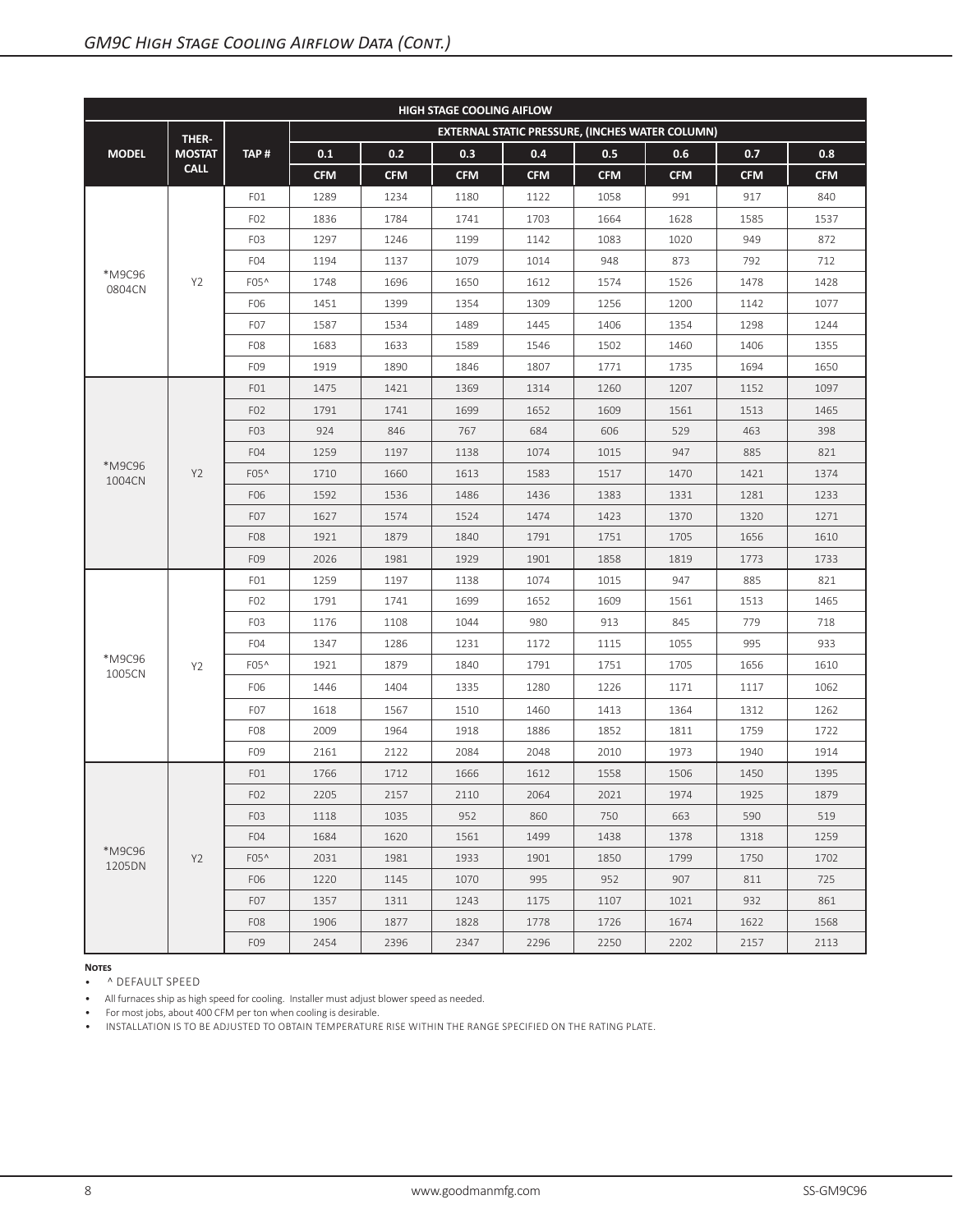| <b>HIGH STAGE COOLING AIFLOW</b> |                |                  |            |            |            |            |                                                 |            |            |            |  |  |
|----------------------------------|----------------|------------------|------------|------------|------------|------------|-------------------------------------------------|------------|------------|------------|--|--|
|                                  | THER-          |                  |            |            |            |            | EXTERNAL STATIC PRESSURE, (INCHES WATER COLUMN) |            |            |            |  |  |
| <b>MODEL</b>                     | <b>MOSTAT</b>  | TAP#             | 0.1        | 0.2        | 0.3        | 0.4        | 0.5                                             | 0.6        | 0.7        | 0.8        |  |  |
|                                  | <b>CALL</b>    |                  | <b>CFM</b> | <b>CFM</b> | <b>CFM</b> | <b>CFM</b> | <b>CFM</b>                                      | <b>CFM</b> | <b>CFM</b> | <b>CFM</b> |  |  |
|                                  |                | FO1              | 1289       | 1234       | 1180       | 1122       | 1058                                            | 991        | 917        | 840        |  |  |
|                                  |                | F <sub>02</sub>  | 1836       | 1784       | 1741       | 1703       | 1664                                            | 1628       | 1585       | 1537       |  |  |
|                                  |                | F <sub>0</sub> 3 | 1297       | 1246       | 1199       | 1142       | 1083                                            | 1020       | 949        | 872        |  |  |
|                                  |                | F <sub>04</sub>  | 1194       | 1137       | 1079       | 1014       | 948                                             | 873        | 792        | 712        |  |  |
| *M9C96<br>0804CN                 | Y <sub>2</sub> | F05^             | 1748       | 1696       | 1650       | 1612       | 1574                                            | 1526       | 1478       | 1428       |  |  |
|                                  |                | F06              | 1451       | 1399       | 1354       | 1309       | 1256                                            | 1200       | 1142       | 1077       |  |  |
|                                  |                | F <sub>0</sub> 7 | 1587       | 1534       | 1489       | 1445       | 1406                                            | 1354       | 1298       | 1244       |  |  |
|                                  |                | F <sub>08</sub>  | 1683       | 1633       | 1589       | 1546       | 1502                                            | 1460       | 1406       | 1355       |  |  |
|                                  |                | F09              | 1919       | 1890       | 1846       | 1807       | 1771                                            | 1735       | 1694       | 1650       |  |  |
|                                  |                | FO1              | 1475       | 1421       | 1369       | 1314       | 1260                                            | 1207       | 1152       | 1097       |  |  |
|                                  |                | F <sub>02</sub>  | 1791       | 1741       | 1699       | 1652       | 1609                                            | 1561       | 1513       | 1465       |  |  |
|                                  |                | F <sub>0</sub> 3 | 924        | 846        | 767        | 684        | 606                                             | 529        | 463        | 398        |  |  |
|                                  | Y2             | F <sub>04</sub>  | 1259       | 1197       | 1138       | 1074       | 1015                                            | 947        | 885        | 821        |  |  |
| *M9C96<br>1004CN                 |                | F05^             | 1710       | 1660       | 1613       | 1583       | 1517                                            | 1470       | 1421       | 1374       |  |  |
|                                  |                | F06              | 1592       | 1536       | 1486       | 1436       | 1383                                            | 1331       | 1281       | 1233       |  |  |
|                                  |                | F <sub>0</sub> 7 | 1627       | 1574       | 1524       | 1474       | 1423                                            | 1370       | 1320       | 1271       |  |  |
|                                  |                | F <sub>08</sub>  | 1921       | 1879       | 1840       | 1791       | 1751                                            | 1705       | 1656       | 1610       |  |  |
|                                  |                | F09              | 2026       | 1981       | 1929       | 1901       | 1858                                            | 1819       | 1773       | 1733       |  |  |
|                                  |                | FO1              | 1259       | 1197       | 1138       | 1074       | 1015                                            | 947        | 885        | 821        |  |  |
|                                  |                | F <sub>02</sub>  | 1791       | 1741       | 1699       | 1652       | 1609                                            | 1561       | 1513       | 1465       |  |  |
|                                  |                | F <sub>0</sub> 3 | 1176       | 1108       | 1044       | 980        | 913                                             | 845        | 779        | 718        |  |  |
|                                  |                | F <sub>04</sub>  | 1347       | 1286       | 1231       | 1172       | 1115                                            | 1055       | 995        | 933        |  |  |
| *M9C96<br>1005CN                 | Y <sub>2</sub> | F05^             | 1921       | 1879       | 1840       | 1791       | 1751                                            | 1705       | 1656       | 1610       |  |  |
|                                  |                | F06              | 1446       | 1404       | 1335       | 1280       | 1226                                            | 1171       | 1117       | 1062       |  |  |
|                                  |                | F <sub>0</sub> 7 | 1618       | 1567       | 1510       | 1460       | 1413                                            | 1364       | 1312       | 1262       |  |  |
|                                  |                | F <sub>08</sub>  | 2009       | 1964       | 1918       | 1886       | 1852                                            | 1811       | 1759       | 1722       |  |  |
|                                  |                | F09              | 2161       | 2122       | 2084       | 2048       | 2010                                            | 1973       | 1940       | 1914       |  |  |
|                                  |                | FO1              | 1766       | 1712       | 1666       | 1612       | 1558                                            | 1506       | 1450       | 1395       |  |  |
|                                  |                | F <sub>02</sub>  | 2205       | 2157       | 2110       | 2064       | 2021                                            | 1974       | 1925       | 1879       |  |  |
|                                  |                | F <sub>0</sub> 3 | 1118       | 1035       | 952        | 860        | 750                                             | 663        | 590        | 519        |  |  |
|                                  |                | F <sub>04</sub>  | 1684       | 1620       | 1561       | 1499       | 1438                                            | 1378       | 1318       | 1259       |  |  |
| *M9C96<br>1205DN                 | Y2             | F05 <sup>^</sup> | 2031       | 1981       | 1933       | 1901       | 1850                                            | 1799       | 1750       | 1702       |  |  |
|                                  |                | F06              | 1220       | 1145       | 1070       | 995        | 952                                             | 907        | 811        | 725        |  |  |
|                                  |                | F <sub>0</sub> 7 | 1357       | 1311       | 1243       | 1175       | 1107                                            | 1021       | 932        | 861        |  |  |
|                                  |                | F <sub>08</sub>  | 1906       | 1877       | 1828       | 1778       | 1726                                            | 1674       | 1622       | 1568       |  |  |
|                                  |                | F09              | 2454       | 2396       | 2347       | 2296       | 2250                                            | 2202       | 2157       | 2113       |  |  |

• ^ DEFAULT SPEED

• All furnaces ship as high speed for cooling. Installer must adjust blower speed as needed.

• For most jobs, about 400 CFM per ton when cooling is desirable.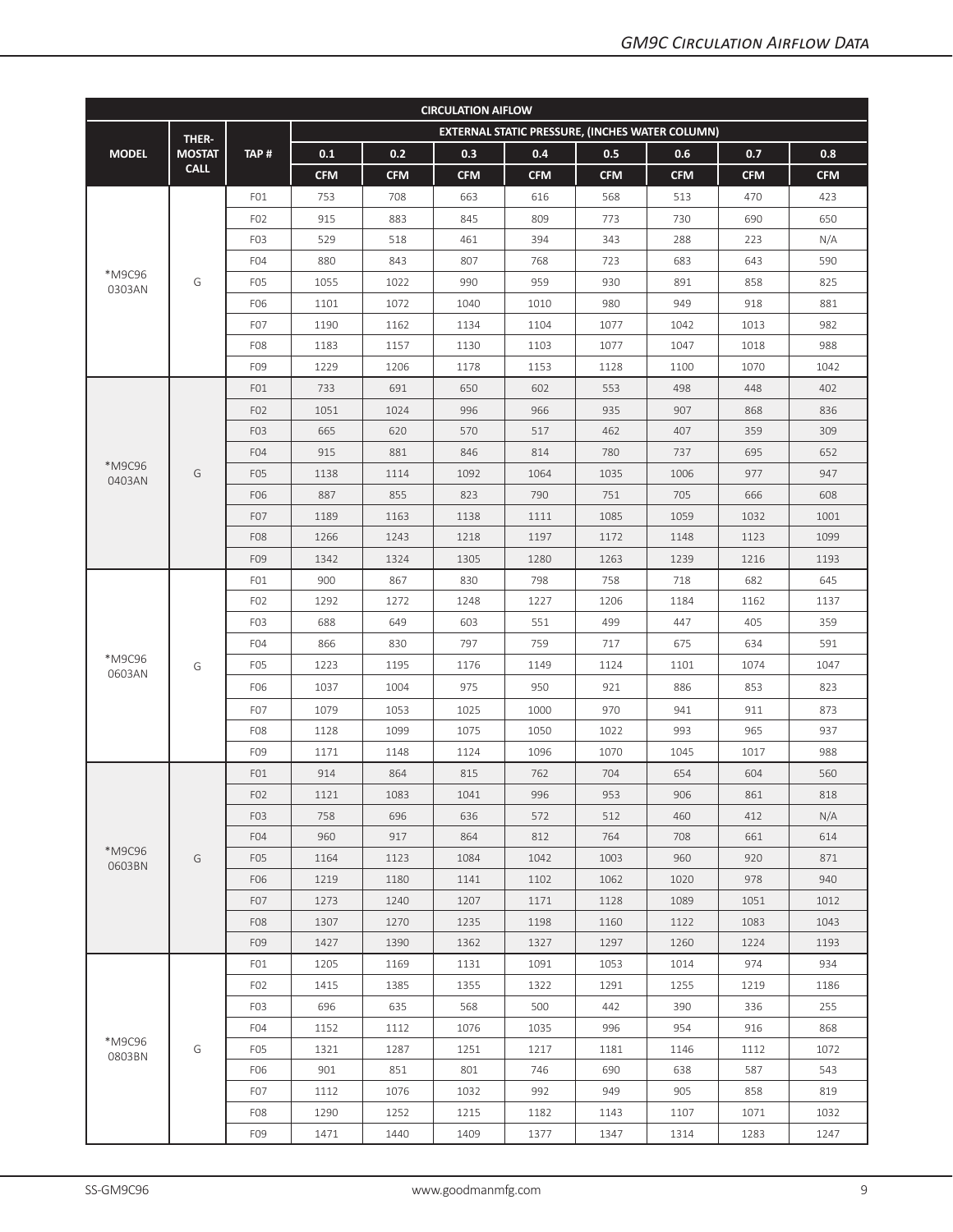| <b>CIRCULATION AIFLOW</b> |               |                  |            |            |            |            |                                                        |            |            |            |  |  |
|---------------------------|---------------|------------------|------------|------------|------------|------------|--------------------------------------------------------|------------|------------|------------|--|--|
|                           | THER-         |                  |            |            |            |            | <b>EXTERNAL STATIC PRESSURE, (INCHES WATER COLUMN)</b> |            |            |            |  |  |
| <b>MODEL</b>              | <b>MOSTAT</b> | TAP#             | 0.1        | 0.2        | 0.3        | 0.4        | 0.5                                                    | 0.6        | 0.7        | 0.8        |  |  |
|                           | <b>CALL</b>   |                  | <b>CFM</b> | <b>CFM</b> | <b>CFM</b> | <b>CFM</b> | <b>CFM</b>                                             | <b>CFM</b> | <b>CFM</b> | <b>CFM</b> |  |  |
|                           |               | FO1              | 753        | 708        | 663        | 616        | 568                                                    | 513        | 470        | 423        |  |  |
|                           |               | F <sub>02</sub>  | 915        | 883        | 845        | 809        | 773                                                    | 730        | 690        | 650        |  |  |
|                           |               | F <sub>0</sub> 3 | 529        | 518        | 461        | 394        | 343                                                    | 288        | 223        | N/A        |  |  |
|                           |               | F <sub>04</sub>  | 880        | 843        | 807        | 768        | 723                                                    | 683        | 643        | 590        |  |  |
| *M9C96<br>0303AN          | G             | F <sub>0</sub> 5 | 1055       | 1022       | 990        | 959        | 930                                                    | 891        | 858        | 825        |  |  |
|                           |               | F06              | 1101       | 1072       | 1040       | 1010       | 980                                                    | 949        | 918        | 881        |  |  |
|                           |               | F <sub>0</sub> 7 | 1190       | 1162       | 1134       | 1104       | 1077                                                   | 1042       | 1013       | 982        |  |  |
|                           |               | F <sub>08</sub>  | 1183       | 1157       | 1130       | 1103       | 1077                                                   | 1047       | 1018       | 988        |  |  |
|                           |               | F09              | 1229       | 1206       | 1178       | 1153       | 1128                                                   | 1100       | 1070       | 1042       |  |  |
|                           |               | FO1              | 733        | 691        | 650        | 602        | 553                                                    | 498        | 448        | 402        |  |  |
|                           |               | F <sub>02</sub>  | 1051       | 1024       | 996        | 966        | 935                                                    | 907        | 868        | 836        |  |  |
|                           |               | F <sub>0</sub> 3 | 665        | 620        | 570        | 517        | 462                                                    | 407        | 359        | 309        |  |  |
|                           |               | F <sub>04</sub>  | 915        | 881        | 846        | 814        | 780                                                    | 737        | 695        | 652        |  |  |
| *M9C96<br>0403AN          | G             | F <sub>05</sub>  | 1138       | 1114       | 1092       | 1064       | 1035                                                   | 1006       | 977        | 947        |  |  |
|                           |               | F06              | 887        | 855        | 823        | 790        | 751                                                    | 705        | 666        | 608        |  |  |
|                           |               | F <sub>0</sub> 7 | 1189       | 1163       | 1138       | 1111       | 1085                                                   | 1059       | 1032       | 1001       |  |  |
|                           |               | F <sub>08</sub>  | 1266       | 1243       | 1218       | 1197       | 1172                                                   | 1148       | 1123       | 1099       |  |  |
|                           |               | F09              | 1342       | 1324       | 1305       | 1280       | 1263                                                   | 1239       | 1216       | 1193       |  |  |
|                           |               | FO1              | 900        | 867        | 830        | 798        | 758                                                    | 718        | 682        | 645        |  |  |
|                           |               | F <sub>02</sub>  | 1292       | 1272       | 1248       | 1227       | 1206                                                   | 1184       | 1162       | 1137       |  |  |
|                           |               | F <sub>0</sub> 3 | 688        | 649        | 603        | 551        | 499                                                    | 447        | 405        | 359        |  |  |
|                           |               | F <sub>04</sub>  | 866        | 830        | 797        | 759        | 717                                                    | 675        | 634        | 591        |  |  |
| *M9C96                    | G             | F <sub>0</sub> 5 | 1223       | 1195       | 1176       | 1149       | 1124                                                   | 1101       | 1074       | 1047       |  |  |
| 0603AN                    |               | F06              | 1037       | 1004       | 975        | 950        | 921                                                    | 886        | 853        | 823        |  |  |
|                           |               | F <sub>0</sub> 7 | 1079       | 1053       | 1025       | 1000       | 970                                                    | 941        | 911        | 873        |  |  |
|                           |               | F <sub>08</sub>  | 1128       | 1099       | 1075       | 1050       | 1022                                                   | 993        | 965        | 937        |  |  |
|                           |               | F09              | 1171       | 1148       | 1124       | 1096       | 1070                                                   | 1045       | 1017       | 988        |  |  |
|                           |               | FO1              | 914        | 864        | 815        | 762        | 704                                                    | 654        | 604        | 560        |  |  |
|                           |               | F <sub>02</sub>  | 1121       | 1083       | 1041       | 996        | 953                                                    | 906        | 861        | 818        |  |  |
|                           |               | F <sub>0</sub> 3 | 758        | 696        | 636        | 572        | 512                                                    | 460        | 412        | N/A        |  |  |
|                           |               | F <sub>04</sub>  | 960        | 917        | 864        | 812        | 764                                                    | 708        | 661        | 614        |  |  |
| *M9C96                    | G             | F <sub>05</sub>  | 1164       | 1123       | 1084       | 1042       | 1003                                                   | 960        | 920        | 871        |  |  |
| 0603BN                    |               | F06              | 1219       | 1180       | 1141       | 1102       | 1062                                                   | 1020       | 978        | 940        |  |  |
|                           |               | F <sub>0</sub> 7 | 1273       | 1240       | 1207       | 1171       | 1128                                                   | 1089       | 1051       | 1012       |  |  |
|                           |               | F <sub>08</sub>  | 1307       | 1270       | 1235       | 1198       | 1160                                                   | 1122       | 1083       | 1043       |  |  |
|                           |               | F09              | 1427       | 1390       | 1362       | 1327       | 1297                                                   | 1260       | 1224       | 1193       |  |  |
|                           |               | FO1              | 1205       | 1169       | 1131       | 1091       | 1053                                                   | 1014       | 974        | 934        |  |  |
|                           |               | F <sub>02</sub>  | 1415       | 1385       | 1355       | 1322       | 1291                                                   | 1255       | 1219       | 1186       |  |  |
|                           |               | F <sub>0</sub> 3 | 696        | 635        | 568        | 500        | 442                                                    | 390        | 336        | 255        |  |  |
|                           |               | F <sub>04</sub>  | 1152       | 1112       | 1076       | 1035       | 996                                                    | 954        | 916        | 868        |  |  |
| *M9C96<br>0803BN          | G             | F <sub>0</sub> 5 | 1321       | 1287       | 1251       | 1217       | 1181                                                   | 1146       | 1112       | 1072       |  |  |
|                           |               | F06              | 901        | 851        | 801        | 746        | 690                                                    | 638        | 587        | 543        |  |  |
|                           |               | F07              | 1112       | 1076       | 1032       | 992        | 949                                                    | 905        | 858        | 819        |  |  |
|                           |               | F <sub>08</sub>  | 1290       | 1252       | 1215       | 1182       | 1143                                                   | 1107       | 1071       | 1032       |  |  |
|                           |               | F09              | 1471       | 1440       | 1409       | 1377       | 1347                                                   | 1314       | 1283       | 1247       |  |  |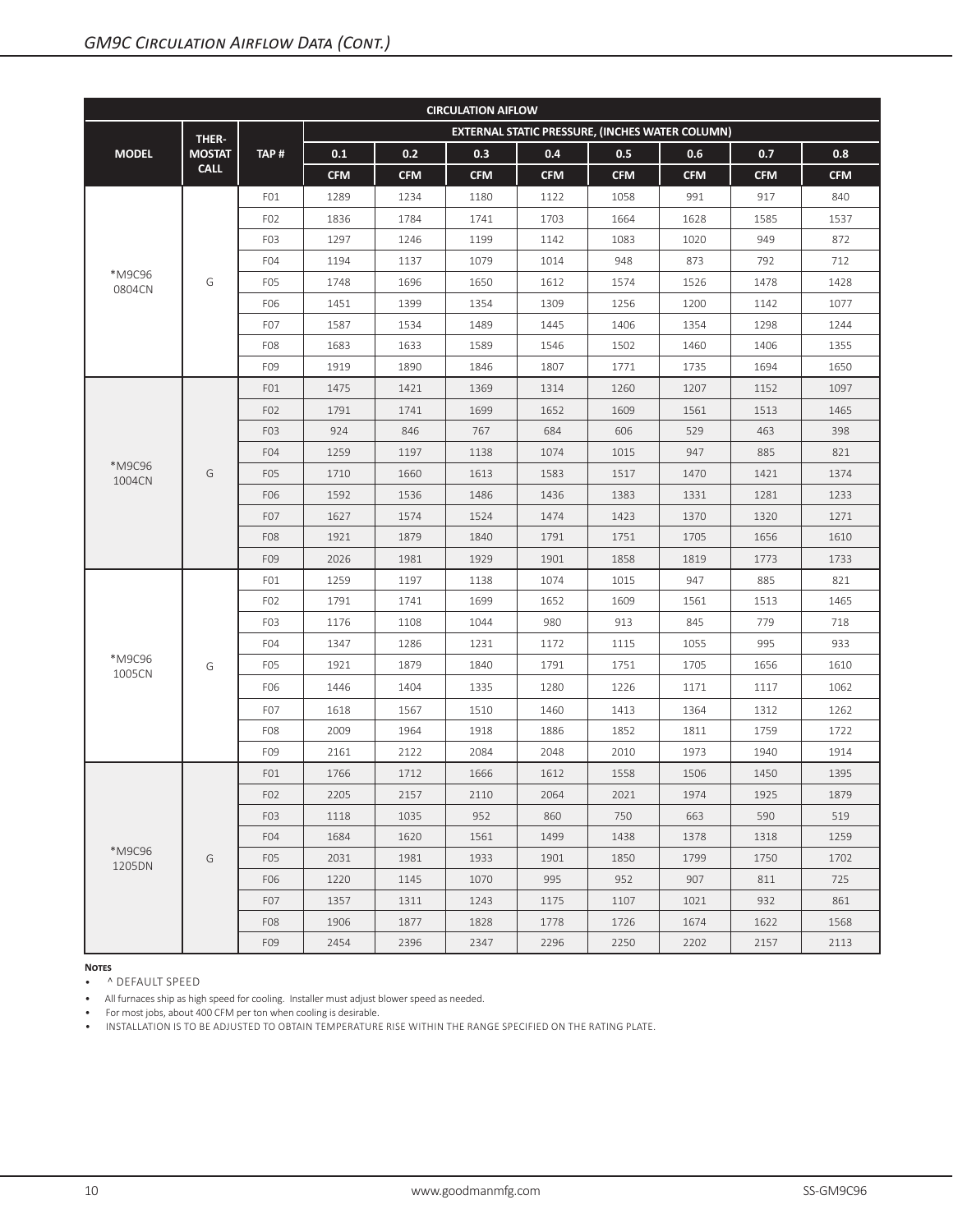| <b>CIRCULATION AIFLOW</b> |               |                  |            |            |            |            |                                                 |            |            |            |  |  |
|---------------------------|---------------|------------------|------------|------------|------------|------------|-------------------------------------------------|------------|------------|------------|--|--|
|                           | THER-         |                  |            |            |            |            | EXTERNAL STATIC PRESSURE, (INCHES WATER COLUMN) |            |            |            |  |  |
| <b>MODEL</b>              | <b>MOSTAT</b> | TAP#             | 0.1        | 0.2        | 0.3        | 0.4        | 0.5                                             | 0.6        | 0.7        | 0.8        |  |  |
|                           | <b>CALL</b>   |                  | <b>CFM</b> | <b>CFM</b> | <b>CFM</b> | <b>CFM</b> | <b>CFM</b>                                      | <b>CFM</b> | <b>CFM</b> | <b>CFM</b> |  |  |
|                           |               | FO1              | 1289       | 1234       | 1180       | 1122       | 1058                                            | 991        | 917        | 840        |  |  |
|                           |               | F <sub>02</sub>  | 1836       | 1784       | 1741       | 1703       | 1664                                            | 1628       | 1585       | 1537       |  |  |
|                           |               | F <sub>0</sub> 3 | 1297       | 1246       | 1199       | 1142       | 1083                                            | 1020       | 949        | 872        |  |  |
|                           |               | F <sub>04</sub>  | 1194       | 1137       | 1079       | 1014       | 948                                             | 873        | 792        | 712        |  |  |
| *M9C96<br>0804CN          | G             | F <sub>0</sub> 5 | 1748       | 1696       | 1650       | 1612       | 1574                                            | 1526       | 1478       | 1428       |  |  |
|                           |               | F06              | 1451       | 1399       | 1354       | 1309       | 1256                                            | 1200       | 1142       | 1077       |  |  |
|                           |               | F <sub>0</sub> 7 | 1587       | 1534       | 1489       | 1445       | 1406                                            | 1354       | 1298       | 1244       |  |  |
|                           |               | F <sub>08</sub>  | 1683       | 1633       | 1589       | 1546       | 1502                                            | 1460       | 1406       | 1355       |  |  |
|                           |               | F09              | 1919       | 1890       | 1846       | 1807       | 1771                                            | 1735       | 1694       | 1650       |  |  |
|                           |               | FO1              | 1475       | 1421       | 1369       | 1314       | 1260                                            | 1207       | 1152       | 1097       |  |  |
|                           |               | FO <sub>2</sub>  | 1791       | 1741       | 1699       | 1652       | 1609                                            | 1561       | 1513       | 1465       |  |  |
|                           |               | F <sub>0</sub> 3 | 924        | 846        | 767        | 684        | 606                                             | 529        | 463        | 398        |  |  |
|                           |               | F <sub>04</sub>  | 1259       | 1197       | 1138       | 1074       | 1015                                            | 947        | 885        | 821        |  |  |
| *M9C96<br>1004CN          | G             | F <sub>0</sub> 5 | 1710       | 1660       | 1613       | 1583       | 1517                                            | 1470       | 1421       | 1374       |  |  |
|                           |               | F06              | 1592       | 1536       | 1486       | 1436       | 1383                                            | 1331       | 1281       | 1233       |  |  |
|                           |               | F <sub>0</sub> 7 | 1627       | 1574       | 1524       | 1474       | 1423                                            | 1370       | 1320       | 1271       |  |  |
|                           |               | F <sub>08</sub>  | 1921       | 1879       | 1840       | 1791       | 1751                                            | 1705       | 1656       | 1610       |  |  |
|                           |               | F09              | 2026       | 1981       | 1929       | 1901       | 1858                                            | 1819       | 1773       | 1733       |  |  |
|                           |               | FO1              | 1259       | 1197       | 1138       | 1074       | 1015                                            | 947        | 885        | 821        |  |  |
|                           |               | F <sub>02</sub>  | 1791       | 1741       | 1699       | 1652       | 1609                                            | 1561       | 1513       | 1465       |  |  |
|                           |               | F <sub>0</sub> 3 | 1176       | 1108       | 1044       | 980        | 913                                             | 845        | 779        | 718        |  |  |
|                           |               | F <sub>04</sub>  | 1347       | 1286       | 1231       | 1172       | 1115                                            | 1055       | 995        | 933        |  |  |
| *M9C96<br>1005CN          | G             | F <sub>0</sub> 5 | 1921       | 1879       | 1840       | 1791       | 1751                                            | 1705       | 1656       | 1610       |  |  |
|                           |               | F <sub>06</sub>  | 1446       | 1404       | 1335       | 1280       | 1226                                            | 1171       | 1117       | 1062       |  |  |
|                           |               | F <sub>0</sub> 7 | 1618       | 1567       | 1510       | 1460       | 1413                                            | 1364       | 1312       | 1262       |  |  |
|                           |               | F <sub>08</sub>  | 2009       | 1964       | 1918       | 1886       | 1852                                            | 1811       | 1759       | 1722       |  |  |
|                           |               | F09              | 2161       | 2122       | 2084       | 2048       | 2010                                            | 1973       | 1940       | 1914       |  |  |
|                           |               | FO <sub>1</sub>  | 1766       | 1712       | 1666       | 1612       | 1558                                            | 1506       | 1450       | 1395       |  |  |
|                           |               | FO <sub>2</sub>  | 2205       | 2157       | 2110       | 2064       | 2021                                            | 1974       | 1925       | 1879       |  |  |
|                           |               | F <sub>0</sub> 3 | 1118       | 1035       | 952        | 860        | 750                                             | 663        | 590        | 519        |  |  |
|                           |               | F <sub>04</sub>  | 1684       | 1620       | 1561       | 1499       | 1438                                            | 1378       | 1318       | 1259       |  |  |
| *M9C96<br>1205DN          | G             | F <sub>05</sub>  | 2031       | 1981       | 1933       | 1901       | 1850                                            | 1799       | 1750       | 1702       |  |  |
|                           |               | F <sub>06</sub>  | 1220       | 1145       | 1070       | 995        | 952                                             | 907        | 811        | 725        |  |  |
|                           |               | F <sub>0</sub> 7 | 1357       | 1311       | 1243       | 1175       | 1107                                            | 1021       | 932        | 861        |  |  |
|                           |               | F <sub>08</sub>  | 1906       | 1877       | 1828       | 1778       | 1726                                            | 1674       | 1622       | 1568       |  |  |
|                           |               | F09              | 2454       | 2396       | 2347       | 2296       | 2250                                            | 2202       | 2157       | 2113       |  |  |

• ^ DEFAULT SPEED

• All furnaces ship as high speed for cooling. Installer must adjust blower speed as needed.

• For most jobs, about 400 CFM per ton when cooling is desirable.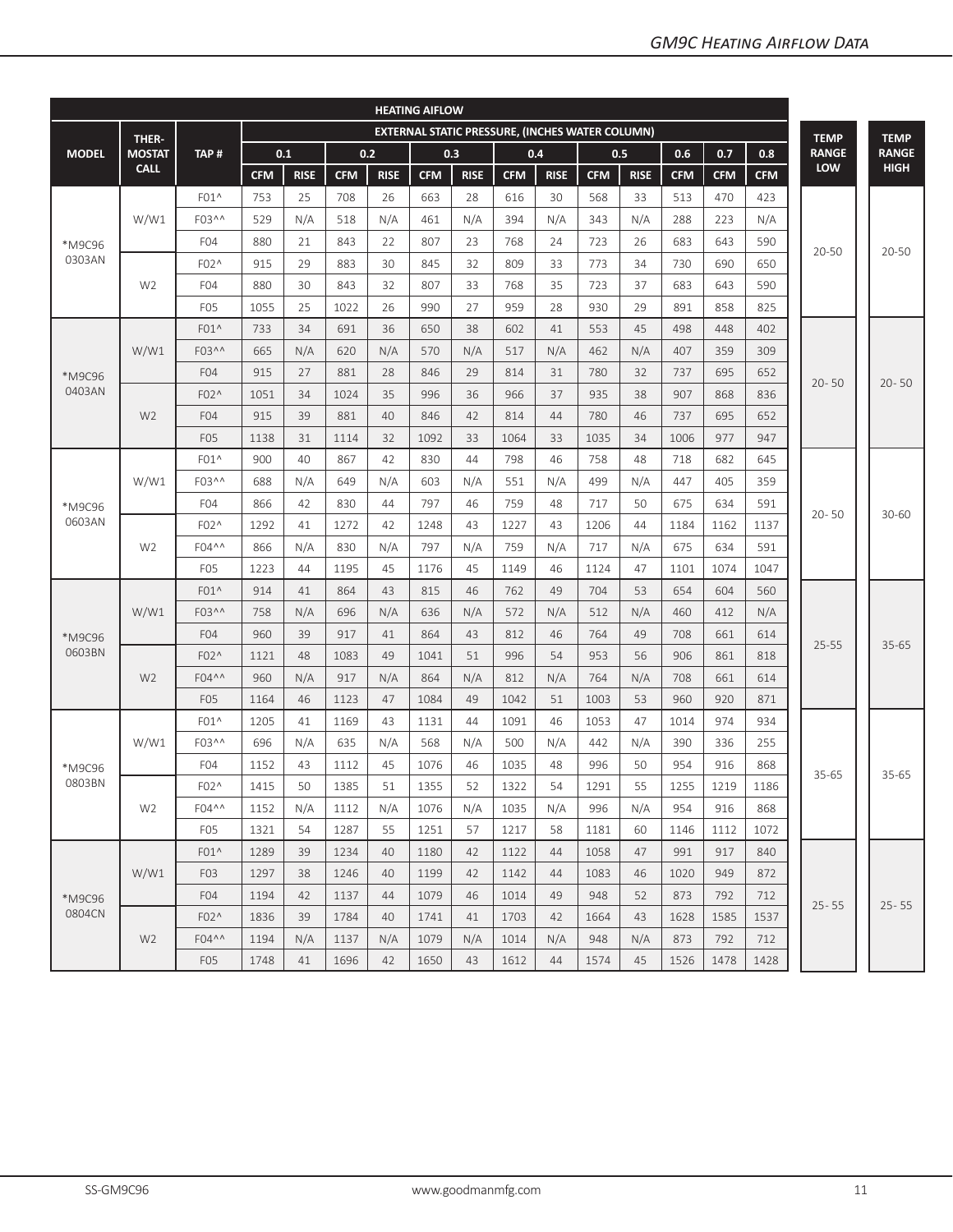|                  | <b>HEATING AIFLOW</b> |                  |            |             |            |             |            |                                                        |            |             |            |             |            |            |            |              |              |
|------------------|-----------------------|------------------|------------|-------------|------------|-------------|------------|--------------------------------------------------------|------------|-------------|------------|-------------|------------|------------|------------|--------------|--------------|
|                  | THER-                 |                  |            |             |            |             |            | <b>EXTERNAL STATIC PRESSURE, (INCHES WATER COLUMN)</b> |            |             |            |             |            |            |            | <b>TEMP</b>  | <b>TEMP</b>  |
| <b>MODEL</b>     | <b>MOSTAT</b>         | TAP#             |            | 0.1         |            | 0.2         |            | 0.3                                                    |            | 0.4         |            | 0.5         | 0.6        | 0.7        | 0.8        | <b>RANGE</b> | <b>RANGE</b> |
|                  | <b>CALL</b>           |                  | <b>CFM</b> | <b>RISE</b> | <b>CFM</b> | <b>RISE</b> | <b>CFM</b> | <b>RISE</b>                                            | <b>CFM</b> | <b>RISE</b> | <b>CFM</b> | <b>RISE</b> | <b>CFM</b> | <b>CFM</b> | <b>CFM</b> | LOW          | <b>HIGH</b>  |
|                  |                       | $F01^{\wedge}$   | 753        | 25          | 708        | 26          | 663        | 28                                                     | 616        | 30          | 568        | 33          | 513        | 470        | 423        |              |              |
|                  | W/W1                  | F03^^            | 529        | N/A         | 518        | N/A         | 461        | N/A                                                    | 394        | N/A         | 343        | N/A         | 288        | 223        | N/A        |              |              |
| *M9C96           |                       | F <sub>04</sub>  | 880        | 21          | 843        | 22          | 807        | 23                                                     | 768        | 24          | 723        | 26          | 683        | 643        | 590        | $20 - 50$    | $20 - 50$    |
| 0303AN           |                       | F02^             | 915        | 29          | 883        | 30          | 845        | 32                                                     | 809        | 33          | 773        | 34          | 730        | 690        | 650        |              |              |
|                  | W <sub>2</sub>        | F <sub>04</sub>  | 880        | 30          | 843        | 32          | 807        | 33                                                     | 768        | 35          | 723        | 37          | 683        | 643        | 590        |              |              |
|                  |                       | F <sub>05</sub>  | 1055       | 25          | 1022       | 26          | 990        | 27                                                     | 959        | 28          | 930        | 29          | 891        | 858        | 825        |              |              |
|                  |                       | $F01^$           | 733        | 34          | 691        | 36          | 650        | 38                                                     | 602        | 41          | 553        | 45          | 498        | 448        | 402        |              |              |
|                  | W/W1                  | F03^^            | 665        | N/A         | 620        | N/A         | 570        | N/A                                                    | 517        | N/A         | 462        | N/A         | 407        | 359        | 309        |              |              |
| *M9C96           |                       | F <sub>04</sub>  | 915        | 27          | 881        | 28          | 846        | 29                                                     | 814        | 31          | 780        | 32          | 737        | 695        | 652        | $20 - 50$    | $20 - 50$    |
| 0403AN           |                       | F02^             | 1051       | 34          | 1024       | 35          | 996        | 36                                                     | 966        | 37          | 935        | 38          | 907        | 868        | 836        |              |              |
|                  | W <sub>2</sub>        | F <sub>04</sub>  | 915        | 39          | 881        | 40          | 846        | 42                                                     | 814        | 44          | 780        | 46          | 737        | 695        | 652        |              |              |
|                  |                       | F <sub>05</sub>  | 1138       | 31          | 1114       | 32          | 1092       | 33                                                     | 1064       | 33          | 1035       | 34          | 1006       | 977        | 947        |              |              |
|                  |                       | $F01^$           | 900        | 40          | 867        | 42          | 830        | 44                                                     | 798        | 46          | 758        | 48          | 718        | 682        | 645        |              |              |
|                  | W/W1                  | F03^^            | 688        | N/A         | 649        | N/A         | 603        | N/A                                                    | 551        | N/A         | 499        | N/A         | 447        | 405        | 359        |              |              |
| *M9C96<br>0603AN |                       | F <sub>04</sub>  | 866        | 42          | 830        | 44          | 797        | 46                                                     | 759        | 48          | 717        | 50          | 675        | 634        | 591        |              |              |
|                  | F02^                  | 1292             | 41         | 1272        | 42         | 1248        | 43         | 1227                                                   | 43         | 1206        | 44         | 1184        | 1162       | 1137       | $20 - 50$  | $30 - 60$    |              |
|                  | W <sub>2</sub>        | F04^^            | 866        | N/A         | 830        | N/A         | 797        | N/A                                                    | 759        | N/A         | 717        | N/A         | 675        | 634        | 591        |              |              |
|                  |                       | F <sub>05</sub>  | 1223       | 44          | 1195       | 45          | 1176       | 45                                                     | 1149       | 46          | 1124       | 47          | 1101       | 1074       | 1047       |              |              |
|                  |                       | $F01^$           | 914        | 41          | 864        | 43          | 815        | 46                                                     | 762        | 49          | 704        | 53          | 654        | 604        | 560        |              |              |
|                  | W/W1                  | F03^^            | 758        | N/A         | 696        | N/A         | 636        | N/A                                                    | 572        | N/A         | 512        | N/A         | 460        | 412        | N/A        |              |              |
| *M9C96           |                       | F <sub>04</sub>  | 960        | 39          | 917        | 41          | 864        | 43                                                     | 812        | 46          | 764        | 49          | 708        | 661        | 614        | $25 - 55$    | $35 - 65$    |
| 0603BN           |                       | F02^             | 1121       | 48          | 1083       | 49          | 1041       | 51                                                     | 996        | 54          | 953        | 56          | 906        | 861        | 818        |              |              |
|                  | W <sub>2</sub>        | F04^^            | 960        | N/A         | 917        | N/A         | 864        | N/A                                                    | 812        | N/A         | 764        | N/A         | 708        | 661        | 614        |              |              |
|                  |                       | F <sub>05</sub>  | 1164       | 46          | 1123       | 47          | 1084       | 49                                                     | 1042       | 51          | 1003       | 53          | 960        | 920        | 871        |              |              |
|                  |                       | $F01^$           | 1205       | 41          | 1169       | 43          | 1131       | 44                                                     | 1091       | 46          | 1053       | 47          | 1014       | 974        | 934        |              |              |
|                  | W/W1                  | F03^^            | 696        | N/A         | 635        | N/A         | 568        | N/A                                                    | 500        | N/A         | 442        | N/A         | 390        | 336        | 255        |              |              |
| *M9C96           |                       | F <sub>04</sub>  | 1152       | 43          | 1112       | 45          | 1076       | 46                                                     | 1035       | 48          | 996        | 50          | 954        | 916        | 868        | 35-65        | $35 - 65$    |
| 0803BN           |                       | F02^             | 1415       | 50          | 1385       | 51          | 1355       | 52                                                     | 1322       | 54          | 1291       | 55          | 1255       | 1219       | 1186       |              |              |
|                  | W <sub>2</sub>        | F04^^            | 1152       | N/A         | 1112       | N/A         | 1076       | N/A                                                    | 1035       | N/A         | 996        | N/A         | 954        | 916        | 868        |              |              |
|                  |                       | F <sub>0</sub> 5 | 1321       | 54          | 1287       | 55          | 1251       | 57                                                     | 1217       | 58          | 1181       | 60          | 1146       | 1112       | 1072       |              |              |
|                  |                       | $F01^{\wedge}$   | 1289       | 39          | 1234       | 40          | 1180       | 42                                                     | 1122       | 44          | 1058       | 47          | 991        | 917        | 840        |              |              |
|                  | W/W1                  | F <sub>0</sub> 3 | 1297       | 38          | 1246       | 40          | 1199       | 42                                                     | 1142       | 44          | 1083       | 46          | 1020       | 949        | 872        |              |              |
| *M9C96           |                       | F <sub>04</sub>  | 1194       | 42          | 1137       | 44          | 1079       | 46                                                     | 1014       | 49          | 948        | 52          | 873        | 792        | 712        |              |              |
| 0804CN           |                       | F02^             | 1836       | 39          | 1784       | 40          | 1741       | 41                                                     | 1703       | 42          | 1664       | 43          | 1628       | 1585       | 1537       | $25 - 55$    | $25 - 55$    |
|                  | W <sub>2</sub>        | F04^^            | 1194       | N/A         | 1137       | N/A         | 1079       | N/A                                                    | 1014       | N/A         | 948        | N/A         | 873        | 792        | 712        |              |              |
|                  |                       | F <sub>05</sub>  | 1748       | 41          | 1696       | 42          | 1650       | 43                                                     | 1612       | 44          | 1574       | 45          | 1526       | 1478       | 1428       |              |              |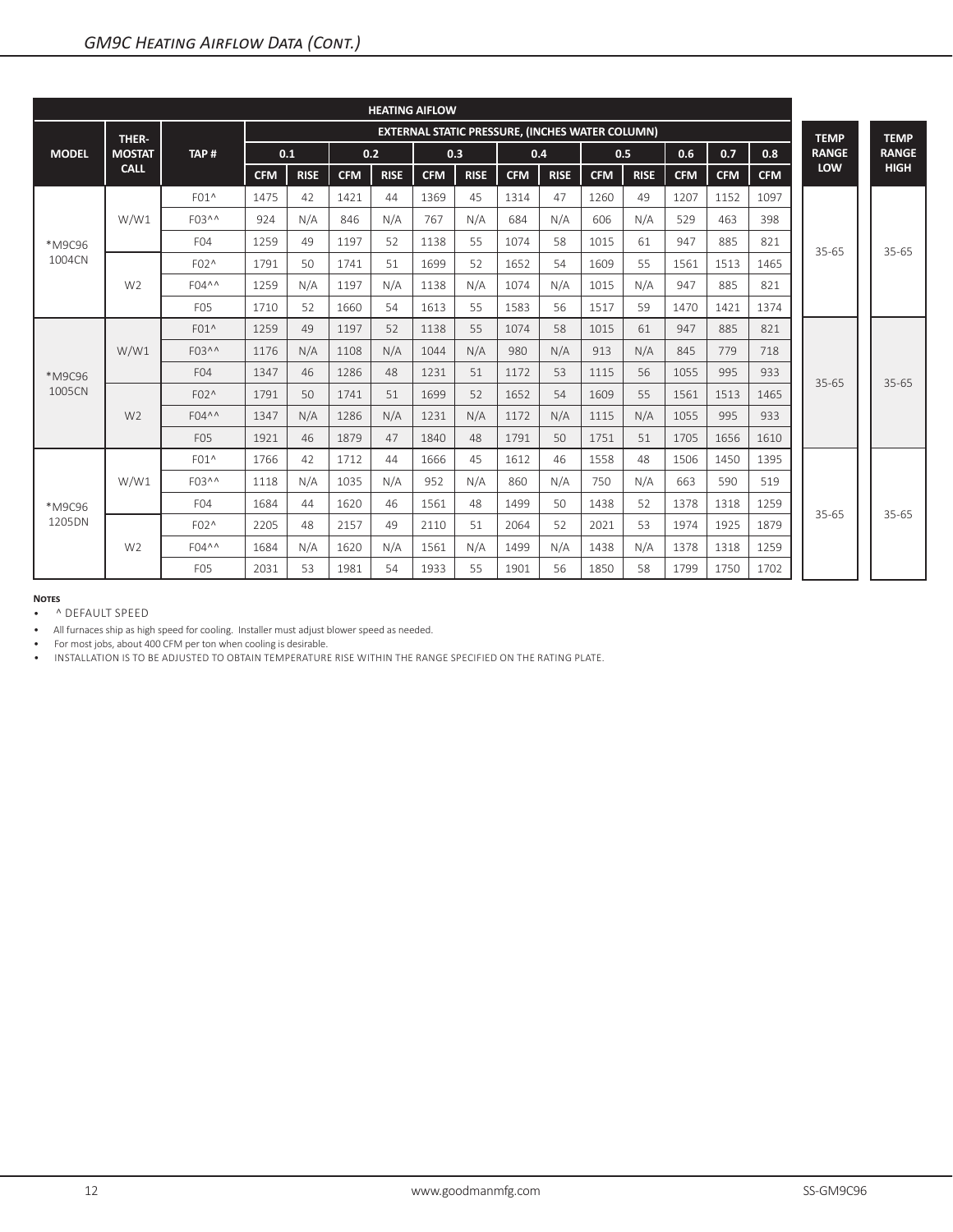| <b>HEATING AIFLOW</b> |                |                       |                                                        |             |            |             |            |             |            |             |            |             |             |            |            |              |              |
|-----------------------|----------------|-----------------------|--------------------------------------------------------|-------------|------------|-------------|------------|-------------|------------|-------------|------------|-------------|-------------|------------|------------|--------------|--------------|
|                       | THER-          |                       | <b>EXTERNAL STATIC PRESSURE, (INCHES WATER COLUMN)</b> |             |            |             |            |             |            |             |            | <b>TEMP</b> | <b>TEMP</b> |            |            |              |              |
| <b>MODEL</b>          | <b>MOSTAT</b>  | TAP#                  |                                                        | 0.1         |            | 0.2         |            | 0.3         |            | 0.4         |            | 0.5         | 0.6         | 0.7        | 0.8        | <b>RANGE</b> | <b>RANGE</b> |
|                       | <b>CALL</b>    |                       | <b>CFM</b>                                             | <b>RISE</b> | <b>CFM</b> | <b>RISE</b> | <b>CFM</b> | <b>RISE</b> | <b>CFM</b> | <b>RISE</b> | <b>CFM</b> | <b>RISE</b> | <b>CFM</b>  | <b>CFM</b> | <b>CFM</b> | LOW          | <b>HIGH</b>  |
| *M9C96<br>1004CN      | W/W1           | F01^                  | 1475                                                   | 42          | 1421       | 44          | 1369       | 45          | 1314       | 47          | 1260       | 49          | 1207        | 1152       | 1097       |              | $35 - 65$    |
|                       |                | F03 <sup>^^</sup>     | 924                                                    | N/A         | 846        | N/A         | 767        | N/A         | 684        | N/A         | 606        | N/A         | 529         | 463        | 398        | $35 - 65$    |              |
|                       |                | F <sub>04</sub>       | 1259                                                   | 49          | 1197       | 52          | 1138       | 55          | 1074       | 58          | 1015       | 61          | 947         | 885        | 821        |              |              |
|                       | W <sub>2</sub> | F02^                  | 1791                                                   | 50          | 1741       | 51          | 1699       | 52          | 1652       | 54          | 1609       | 55          | 1561        | 1513       | 1465       |              |              |
|                       |                | $F04^{\wedge \wedge}$ | 1259                                                   | N/A         | 1197       | N/A         | 1138       | N/A         | 1074       | N/A         | 1015       | N/A         | 947         | 885        | 821        |              |              |
|                       |                | F <sub>05</sub>       | 1710                                                   | 52          | 1660       | 54          | 1613       | 55          | 1583       | 56          | 1517       | 59          | 1470        | 1421       | 1374       |              |              |
|                       | W/W1           | $F01^$                | 1259                                                   | 49          | 1197       | 52          | 1138       | 55          | 1074       | 58          | 1015       | 61          | 947         | 885        | 821        |              | $35 - 65$    |
|                       |                | $F03^{\wedge \wedge}$ | 1176                                                   | N/A         | 1108       | N/A         | 1044       | N/A         | 980        | N/A         | 913        | N/A         | 845         | 779        | 718        |              |              |
| *M9C96                |                | F <sub>04</sub>       | 1347                                                   | 46          | 1286       | 48          | 1231       | 51          | 1172       | 53          | 1115       | 56          | 1055        | 995        | 933        | $35 - 65$    |              |
| 1005CN                | W <sub>2</sub> | F02^                  | 1791                                                   | 50          | 1741       | 51          | 1699       | 52          | 1652       | 54          | 1609       | 55          | 1561        | 1513       | 1465       |              |              |
|                       |                | F04^^                 | 1347                                                   | N/A         | 1286       | N/A         | 1231       | N/A         | 1172       | N/A         | 1115       | N/A         | 1055        | 995        | 933        |              |              |
|                       |                | F <sub>05</sub>       | 1921                                                   | 46          | 1879       | 47          | 1840       | 48          | 1791       | 50          | 1751       | 51          | 1705        | 1656       | 1610       |              |              |
| *M9C96<br>1205DN      | W/W1           | F01^                  | 1766                                                   | 42          | 1712       | 44          | 1666       | 45          | 1612       | 46          | 1558       | 48          | 1506        | 1450       | 1395       |              |              |
|                       |                | F03^^                 | 1118                                                   | N/A         | 1035       | N/A         | 952        | N/A         | 860        | N/A         | 750        | N/A         | 663         | 590        | 519        | $35 - 65$    | $35 - 65$    |
|                       |                | F <sub>04</sub>       | 1684                                                   | 44          | 1620       | 46          | 1561       | 48          | 1499       | 50          | 1438       | 52          | 1378        | 1318       | 1259       |              |              |
|                       | W <sub>2</sub> | $F02^$                | 2205                                                   | 48          | 2157       | 49          | 2110       | 51          | 2064       | 52          | 2021       | 53          | 1974        | 1925       | 1879       |              |              |
|                       |                | $F04^{\wedge \wedge}$ | 1684                                                   | N/A         | 1620       | N/A         | 1561       | N/A         | 1499       | N/A         | 1438       | N/A         | 1378        | 1318       | 1259       |              |              |
|                       |                | F <sub>05</sub>       | 2031                                                   | 53          | 1981       | 54          | 1933       | 55          | 1901       | 56          | 1850       | 58          | 1799        | 1750       | 1702       |              |              |

• ^ DEFAULT SPEED

• All furnaces ship as high speed for cooling. Installer must adjust blower speed as needed.

• For most jobs, about 400 CFM per ton when cooling is desirable.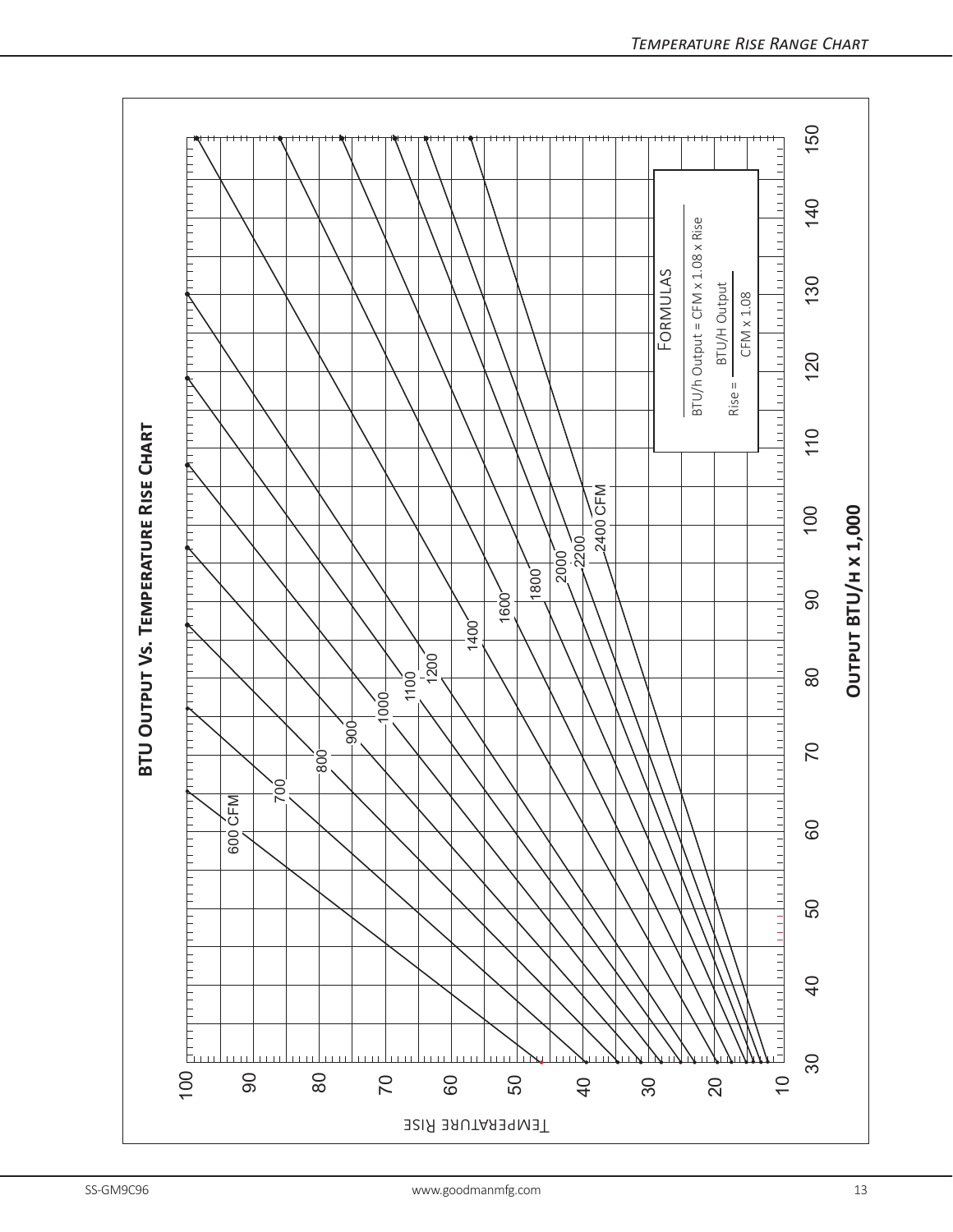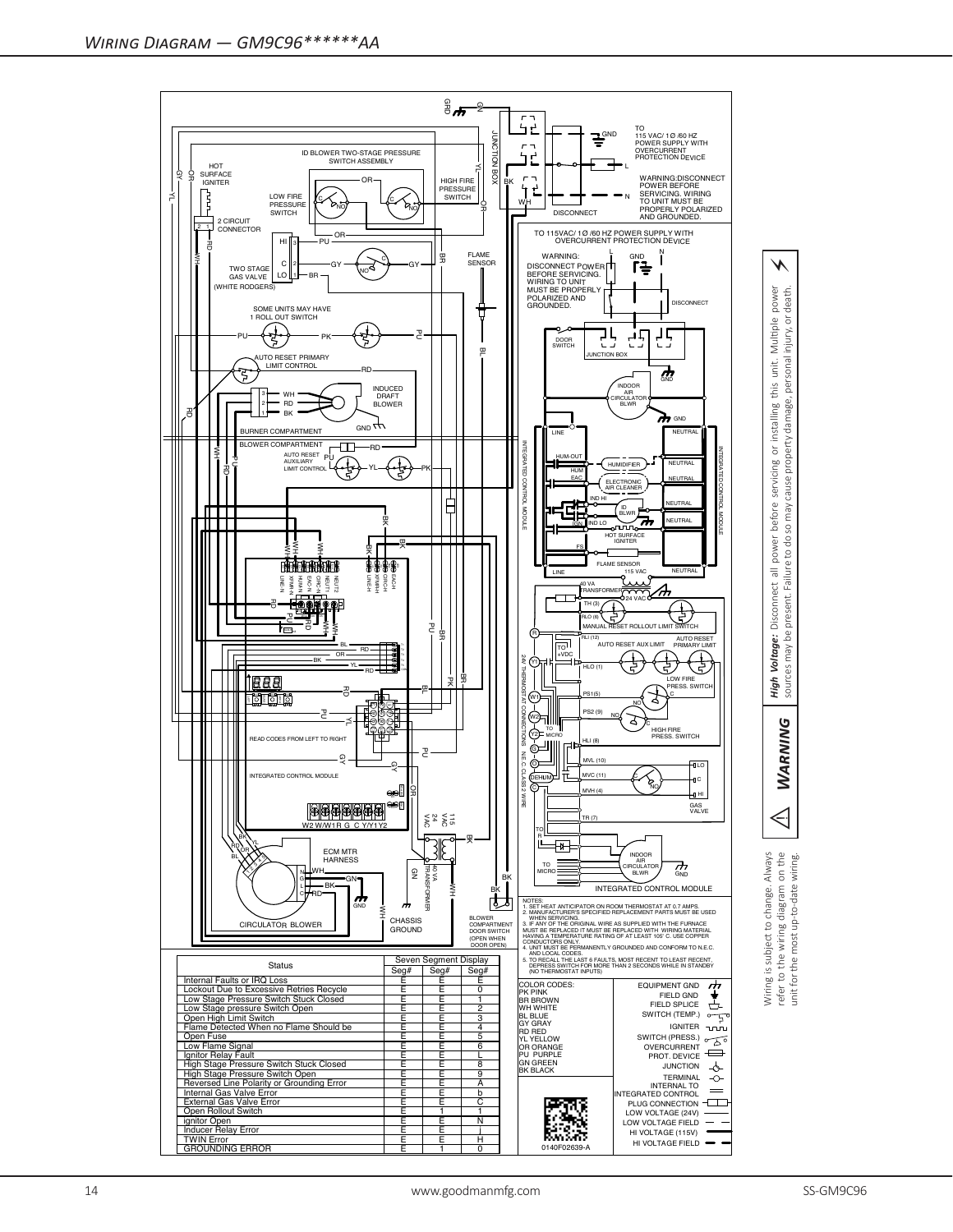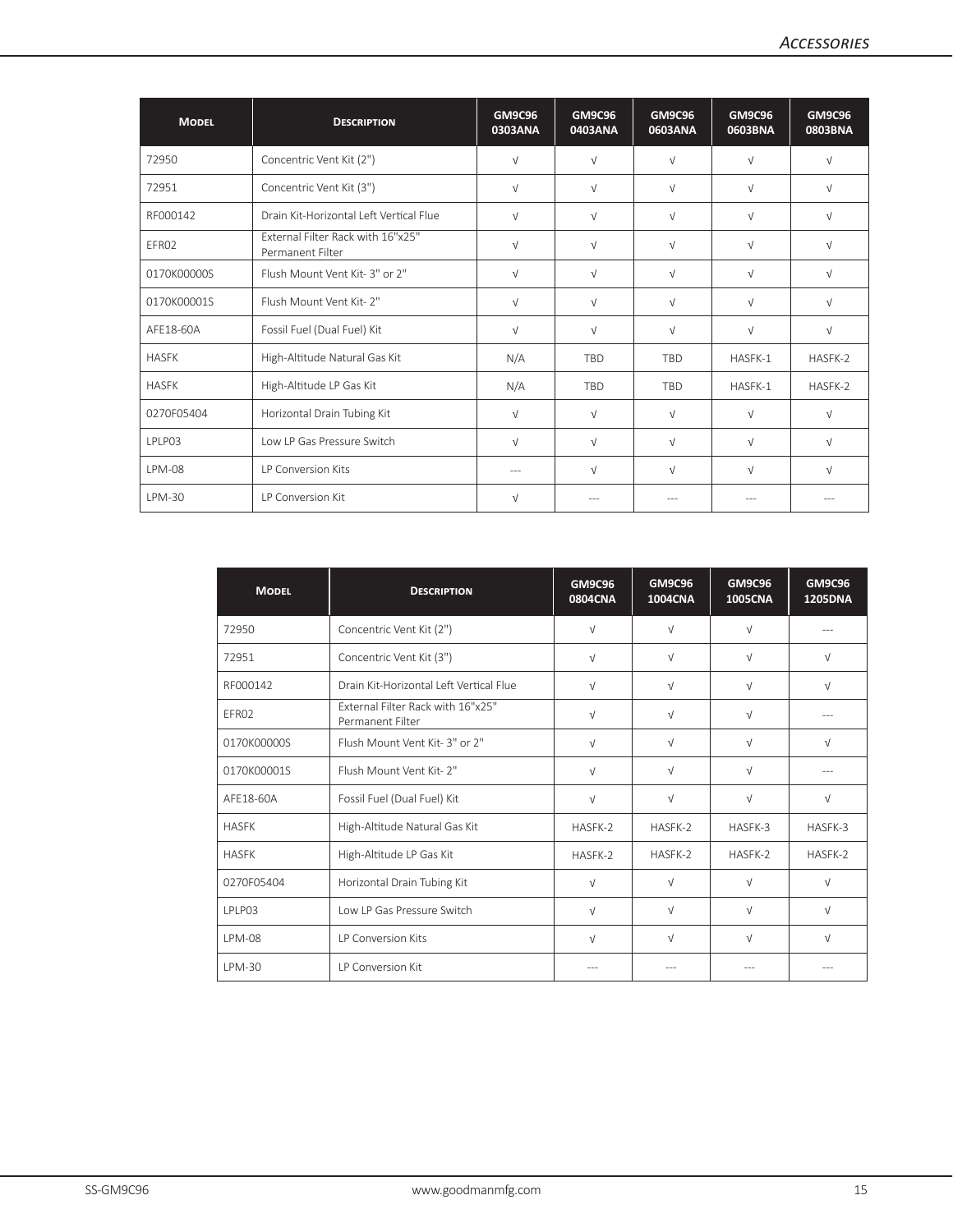| <b>MODEL</b>  | <b>DESCRIPTION</b>                                    | <b>GM9C96</b><br>0303ANA | <b>GM9C96</b><br>0403ANA | <b>GM9C96</b><br>0603ANA | <b>GM9C96</b><br>0603BNA | <b>GM9C96</b><br>0803BNA |
|---------------|-------------------------------------------------------|--------------------------|--------------------------|--------------------------|--------------------------|--------------------------|
| 72950         | Concentric Vent Kit (2")                              | $\sqrt{ }$               | $\sqrt{ }$               | $\sqrt{ }$               | $\sqrt{ }$               | $\sqrt{ }$               |
| 72951         | Concentric Vent Kit (3")                              | $\sqrt{ }$               | $\sqrt{ }$               | $\sqrt{ }$               | $\sqrt{ }$               | $\sqrt{ }$               |
| RF000142      | Drain Kit-Horizontal Left Vertical Flue               | $\sqrt{ }$               | $\sqrt{ }$               | $\sqrt{ }$               | $\sqrt{ }$               | $\sqrt{ }$               |
| EFR02         | External Filter Rack with 16"x25"<br>Permanent Filter | $\sqrt{ }$               | $\sqrt{ }$               | $\sqrt{ }$               | $\sqrt{ }$               | $\sqrt{ }$               |
| 0170K00000S   | Flush Mount Vent Kit-3" or 2"                         | $\sqrt{ }$               | $\sqrt{ }$               | $\sqrt{ }$               | $\sqrt{ }$               | $\sqrt{ }$               |
| 0170K00001S   | Flush Mount Vent Kit- 2"                              | $\sqrt{ }$               | $\sqrt{ }$               | $\sqrt{ }$               | $\sqrt{ }$               | $\sqrt{ }$               |
| AFE18-60A     | Fossil Fuel (Dual Fuel) Kit                           | $\sqrt{ }$               | $\sqrt{ }$               | $\sqrt{ }$               | $\sqrt{ }$               | $\sqrt{ }$               |
| <b>HASFK</b>  | High-Altitude Natural Gas Kit                         | N/A                      | <b>TBD</b>               | <b>TBD</b>               | HASFK-1                  | HASFK-2                  |
| <b>HASFK</b>  | High-Altitude LP Gas Kit                              | N/A                      | <b>TBD</b>               | <b>TBD</b>               | HASFK-1                  | HASFK-2                  |
| 0270F05404    | Horizontal Drain Tubing Kit                           | $\sqrt{ }$               | $\sqrt{ }$               | $\sqrt{ }$               | $\sqrt{ }$               | $\sqrt{ }$               |
| LPLP03        | Low LP Gas Pressure Switch                            | $\sqrt{ }$               | $\sqrt{ }$               | $\sqrt{ }$               | $\sqrt{ }$               | $\sqrt{ }$               |
| <b>LPM-08</b> | LP Conversion Kits                                    | $---$                    | $\sqrt{ }$               | $\sqrt{ }$               | $\sqrt{ }$               | $\sqrt{ }$               |
| LPM-30        | <b>IP Conversion Kit</b>                              | $\sqrt{ }$               | ---                      | $--$                     |                          |                          |

| <b>MODEL</b>  | <b>DESCRIPTION</b>                                           | <b>GM9C96</b><br><b>0804CNA</b> | <b>GM9C96</b><br><b>1004CNA</b> | <b>GM9C96</b><br><b>1005CNA</b> | <b>GM9C96</b><br><b>1205DNA</b> |
|---------------|--------------------------------------------------------------|---------------------------------|---------------------------------|---------------------------------|---------------------------------|
| 72950         | Concentric Vent Kit (2")                                     | $\sqrt{}$                       | $\sqrt{}$                       | $\sqrt{ }$                      |                                 |
| 72951         | Concentric Vent Kit (3")                                     | V                               | $\sqrt{ }$                      | $\sqrt{ }$                      | $\sqrt{ }$                      |
| RF000142      | Drain Kit-Horizontal Left Vertical Flue                      | $\sqrt{ }$                      | $\sqrt{}$                       | $\sqrt{ }$                      | $\sqrt{ }$                      |
| FFR02         | <b>External Filter Rack with 16"x25"</b><br>Permanent Filter | $\sqrt{ }$                      | $\sqrt{}$                       | $\sqrt{ }$                      |                                 |
| 0170K00000S   | Flush Mount Vent Kit-3" or 2"                                | $\sqrt{}$                       | $\sqrt{}$                       | $\sqrt{ }$                      | $\sqrt{ }$                      |
| 0170K00001S   | Flush Mount Vent Kit- 2"                                     | $\sqrt{ }$                      | $\sqrt{ }$                      | $\sqrt{ }$                      |                                 |
| AFF18-60A     | Fossil Fuel (Dual Fuel) Kit                                  | $\sqrt{}$                       | $\sqrt{}$                       | $\sqrt{ }$                      | $\sqrt{ }$                      |
| <b>HASFK</b>  | High-Altitude Natural Gas Kit                                | HASFK-2                         | HASFK-2                         | HASFK-3                         | HASFK-3                         |
| <b>HASFK</b>  | High-Altitude LP Gas Kit                                     | HASFK-2                         | HASFK-2                         | HASFK-2                         | HASFK-2                         |
| 0270F05404    | Horizontal Drain Tubing Kit                                  | $\sqrt{ }$                      | $\sqrt{ }$                      | $\sqrt{ }$                      | $\sqrt{ }$                      |
| <b>IPIP03</b> | Low LP Gas Pressure Switch                                   | $\sqrt{ }$                      | $\sqrt{ }$                      | $\sqrt{ }$                      | $\sqrt{ }$                      |
| <b>LPM-08</b> | <b>IP Conversion Kits</b>                                    | $\sqrt{ }$                      | $\sqrt{ }$                      | $\sqrt{ }$                      | $\sqrt{ }$                      |
| LPM-30        | <b>IP Conversion Kit</b>                                     |                                 |                                 |                                 |                                 |